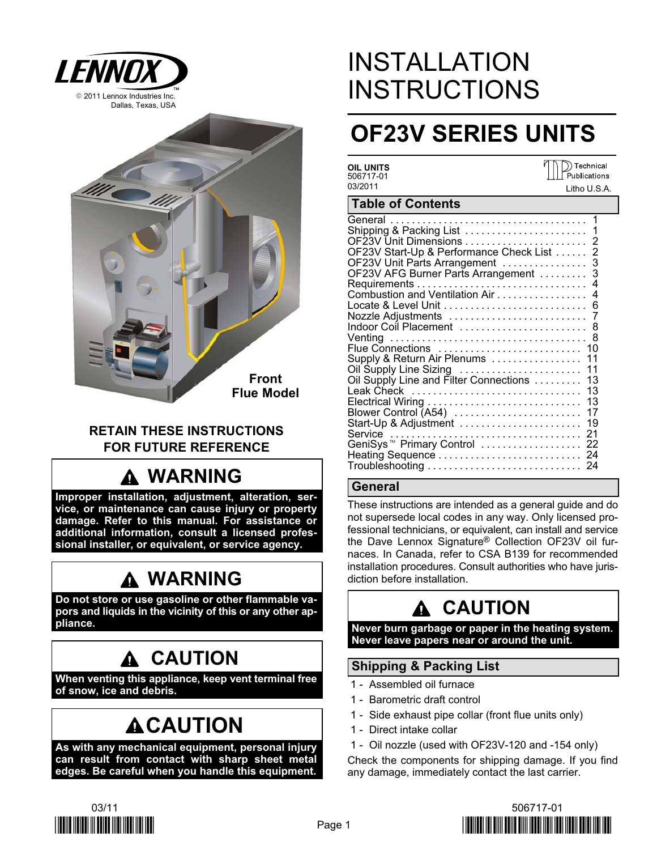



### RETAIN THESE INSTRUCTIONS FOR FUTURE REFERENCE

# WARNING

Improper installation, adjustment, alteration, service, or maintenance can cause injury or property damage. Refer to this manual. For assistance or additional information, consult a licensed professional installer, or equivalent, or service agency.

## WARNING

Do not store or use gasoline or other flammable vapors and liquids in the vicinity of this or any other appliance.

## **A CAUTION**

When venting this appliance, keep vent terminal free of snow, ice and debris.

# **ACAUTION**

As with any mechanical equipment, personal injury can result from contact with sharp sheet metal edges. Be careful when you handle this equipment.

# INSTALLATION **INSTRUCTIONS**

# OF23V SERIES UNITS

| OII IJNITS<br>506717-01<br>03/2011                                                                                                                                                                                                                                                                                                                                                                                                                                                | Technical<br>Publications<br>Litho U.S.A.                                                                                     |
|-----------------------------------------------------------------------------------------------------------------------------------------------------------------------------------------------------------------------------------------------------------------------------------------------------------------------------------------------------------------------------------------------------------------------------------------------------------------------------------|-------------------------------------------------------------------------------------------------------------------------------|
| <b>Table of Contents</b>                                                                                                                                                                                                                                                                                                                                                                                                                                                          |                                                                                                                               |
| General<br>Shipping & Packing List<br>OF23V Start-Up & Performance Check List<br>OF23V Unit Parts Arrangement<br>OF23V AFG Burner Parts Arrangement<br>Combustion and Ventilation Air<br>Nozzle Adjustments<br>Indoor Coil Placement<br>Flue Connections<br>Supply & Return Air Plenums<br>Oil Supply Line Sizing<br>Oil Supply Line and Filter Connections<br>Leak Check<br>Blower Control (A54)<br>Start-Up & Adjustment<br>Service<br>GeniSys <sup>™</sup> Primary Control  22 | 1<br>$\overline{2}$<br>3<br>3<br>4<br>4<br>6<br>7<br>8<br>8<br>10<br>11<br>11<br>13<br>13<br>13<br>17<br>19<br>21<br>24<br>24 |

### **General**

These instructions are intended as a general guide and do not supersede local codes in any way. Only licensed professional technicians, or equivalent, can install and service the Dave Lennox Signature® Collection OF23V oil furnaces. In Canada, refer to CSA B139 for recommended installation procedures. Consult authorities who have jurisdiction before installation.

# A CAUTION

Never burn garbage or paper in the heating system. Never leave papers near or around the unit.

### Shipping & Packing List

- 1 − Assembled oil furnace
- 1 − Barometric draft control
- 1 Side exhaust pipe collar (front flue units only)
- 1 − Direct intake collar
- 1 − Oil nozzle (used with OF23V−120 and −154 only)

Check the components for shipping damage. If you find any damage, immediately contact the last carrier.



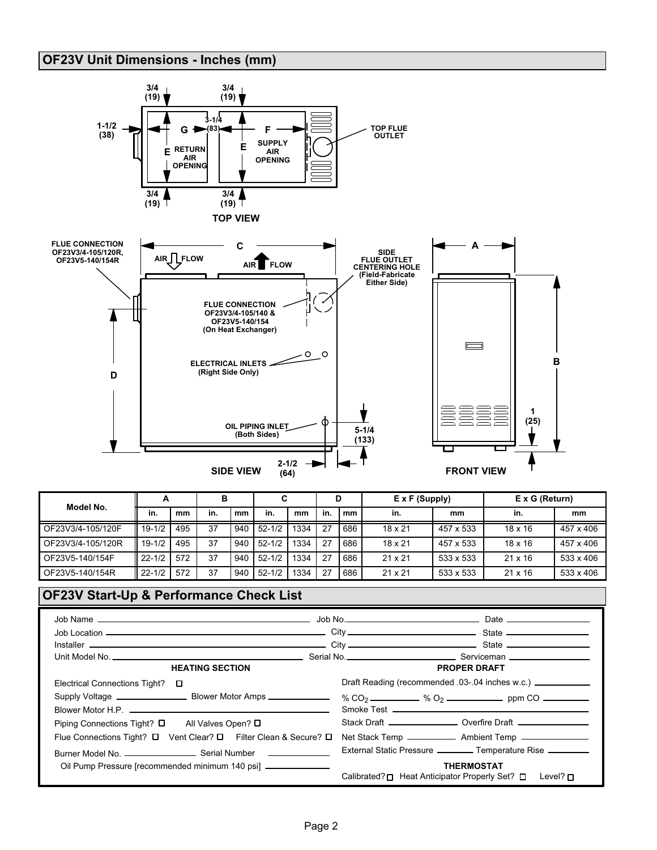### OF23V Unit Dimensions − Inches (mm)



| Model No.         | A          |     | в   |     |            |      |     |     | $E \times F$ (Supply) |           | $E \times G$ (Return) |                  |  |
|-------------------|------------|-----|-----|-----|------------|------|-----|-----|-----------------------|-----------|-----------------------|------------------|--|
|                   | in.        | mm  | in. | mm  | in.        | mm   | in. | mm  | in.                   | mm        | in.                   | mm               |  |
| OF23V3/4-105/120F | $19-1/2$   | 495 | 37  | 940 | $52 - 1/2$ | 1334 | 27  | 686 | $18 \times 21$        | 457 x 533 | $18 \times 16$        | 457 x 406        |  |
| OF23V3/4-105/120R | $19 - 1/2$ | 495 | 37  | 940 | $52 - 1/2$ | 1334 | 27  | 686 | $18 \times 21$        | 457 x 533 | $18 \times 16$        | 457 x 406        |  |
| OF23V5-140/154F   | $22 - 1/2$ | 572 | 37  | 940 | $52 - 1/2$ | 1334 | 27  | 686 | $21 \times 21$        | 533 x 533 | $21 \times 16$        | $533 \times 406$ |  |
| OF23V5-140/154R   | $22 - 1/2$ | 572 | 37  | 940 | $52 - 1/2$ | 1334 | 27  | 686 | $21 \times 21$        | 533 x 533 | $21 \times 16$        | 533 x 406        |  |

### OF23V Start−Up & Performance Check List

| <b>HEATING SECTION</b>                                                                   | <b>PROPER DRAFT</b>                                                                  |
|------------------------------------------------------------------------------------------|--------------------------------------------------------------------------------------|
| Electrical Connections Tight?<br>$\Box$                                                  | Draft Reading (recommended .03-.04 inches w.c.) _____________                        |
|                                                                                          | % CO <sub>2</sub> $\frac{1}{2}$ % O <sub>2</sub> $\frac{1}{2}$ ppm CO $\frac{1}{2}$  |
|                                                                                          |                                                                                      |
| Piping Connections Tight? $\square$<br>All Valves Open? □                                | Stack Draft ___________________ Overfire Draft ________________                      |
| Flue Connections Tight? $\square$ Vent Clear? $\square$ Filter Clean & Secure? $\square$ |                                                                                      |
|                                                                                          | External Static Pressure __________ Temperature Rise _________                       |
| Oil Pump Pressure [recommended minimum 140 psi] _______________                          | <b>THERMOSTAT</b><br>Calibrated? □ Heat Anticipator Properly Set? □<br>Level? $\Box$ |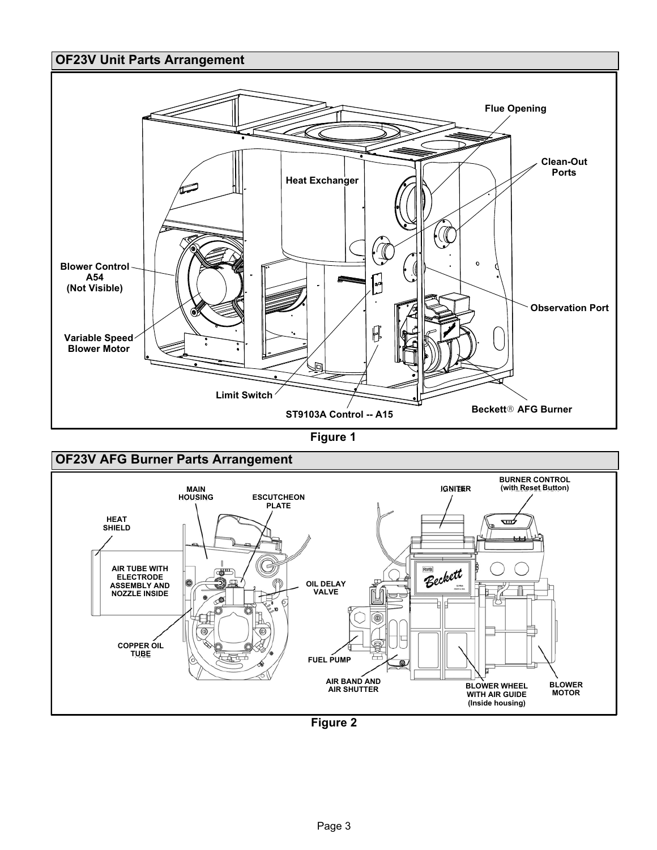### <span id="page-2-0"></span>OF23V Unit Parts Arrangement



Figure 1



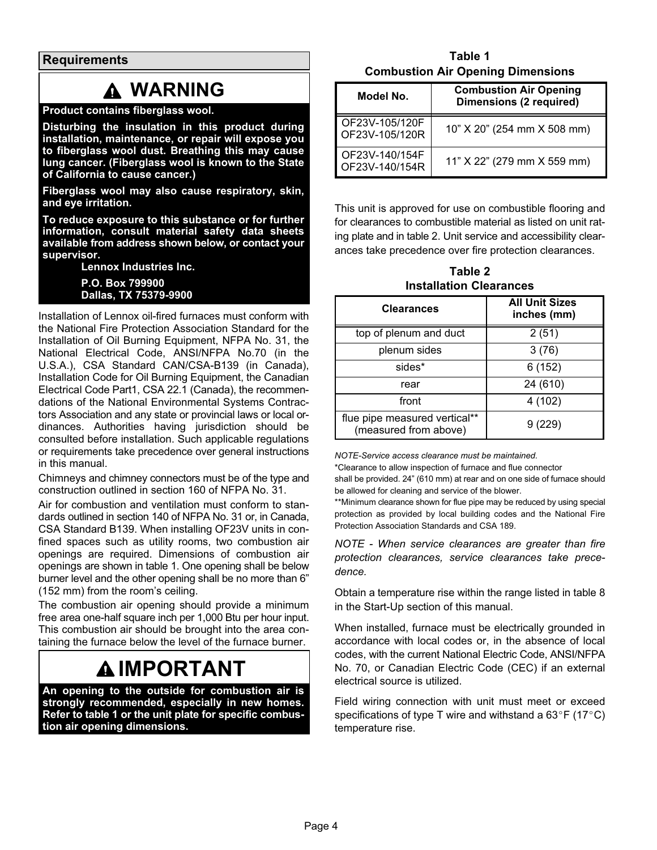**Requirements** 

### WARNING

#### Product contains fiberglass wool.

Disturbing the insulation in this product during installation, maintenance, or repair will expose you to fiberglass wool dust. Breathing this may cause lung cancer. (Fiberglass wool is known to the State of California to cause cancer.)

Fiberglass wool may also cause respiratory, skin, and eye irritation.

To reduce exposure to this substance or for further information, consult material safety data sheets available from address shown below, or contact your supervisor.

Lennox Industries Inc.

P.O. Box 799900 Dallas, TX 75379−9900

Installation of Lennox oil−fired furnaces must conform with the National Fire Protection Association Standard for the Installation of Oil Burning Equipment, NFPA No. 31, the National Electrical Code, ANSI/NFPA No.70 (in the U.S.A.), CSA Standard CAN/CSA−B139 (in Canada), Installation Code for Oil Burning Equipment, the Canadian Electrical Code Part1, CSA 22.1 (Canada), the recommendations of the National Environmental Systems Contractors Association and any state or provincial laws or local ordinances. Authorities having jurisdiction should be consulted before installation. Such applicable regulations or requirements take precedence over general instructions in this manual.

Chimneys and chimney connectors must be of the type and construction outlined in section 160 of NFPA No. 31.

Air for combustion and ventilation must conform to standards outlined in section 140 of NFPA No. 31 or, in Canada, CSA Standard B139. When installing OF23V units in confined spaces such as utility rooms, two combustion air openings are required. Dimensions of combustion air openings are shown in table 1. One opening shall be below burner level and the other opening shall be no more than 6" (152 mm) from the room's ceiling.

The combustion air opening should provide a minimum free area one-half square inch per 1,000 Btu per hour input. This combustion air should be brought into the area containing the furnace below the level of the furnace burner.

## **AIMPORTANT**

An opening to the outside for combustion air is strongly recommended, especially in new homes. Refer to table 1 or the unit plate for specific combustion air opening dimensions.

Table 1 Combustion Air Opening Dimensions

| Model No.                        | <b>Combustion Air Opening</b><br><b>Dimensions (2 required)</b> |
|----------------------------------|-----------------------------------------------------------------|
| OF23V-105/120F<br>OF23V-105/120R | 10" X 20" (254 mm X 508 mm)                                     |
| OF23V-140/154F<br>OF23V-140/154R | 11" X 22" (279 mm X 559 mm)                                     |

This unit is approved for use on combustible flooring and for clearances to combustible material as listed on unit rating plate and in table 2. Unit service and accessibility clearances take precedence over fire protection clearances.

Table 2 Installation Clearances

| <b>Clearances</b>                                      | <b>All Unit Sizes</b><br>inches (mm) |
|--------------------------------------------------------|--------------------------------------|
| top of plenum and duct                                 | 2(51)                                |
| plenum sides                                           | 3(76)                                |
| sides*                                                 | 6(152)                               |
| rear                                                   | 24 (610)                             |
| front                                                  | 4 (102)                              |
| flue pipe measured vertical**<br>(measured from above) | 9 (229)                              |

NOTE−Service access clearance must be maintained.

\*Clearance to allow inspection of furnace and flue connector

shall be provided. 24" (610 mm) at rear and on one side of furnace should be allowed for cleaning and service of the blower.

\*\*Minimum clearance shown for flue pipe may be reduced by using special protection as provided by local building codes and the National Fire Protection Association Standards and CSA 189.

NOTE − When service clearances are greater than fire protection clearances, service clearances take precedence.

Obtain a temperature rise within the range listed in table [8](#page-19-0) in the Start-Up section of this manual.

When installed, furnace must be electrically grounded in accordance with local codes or, in the absence of local codes, with the current National Electric Code, ANSI/NFPA No. 70, or Canadian Electric Code (CEC) if an external electrical source is utilized.

Field wiring connection with unit must meet or exceed specifications of type T wire and withstand a  $63^{\circ}F(17^{\circ}C)$ temperature rise.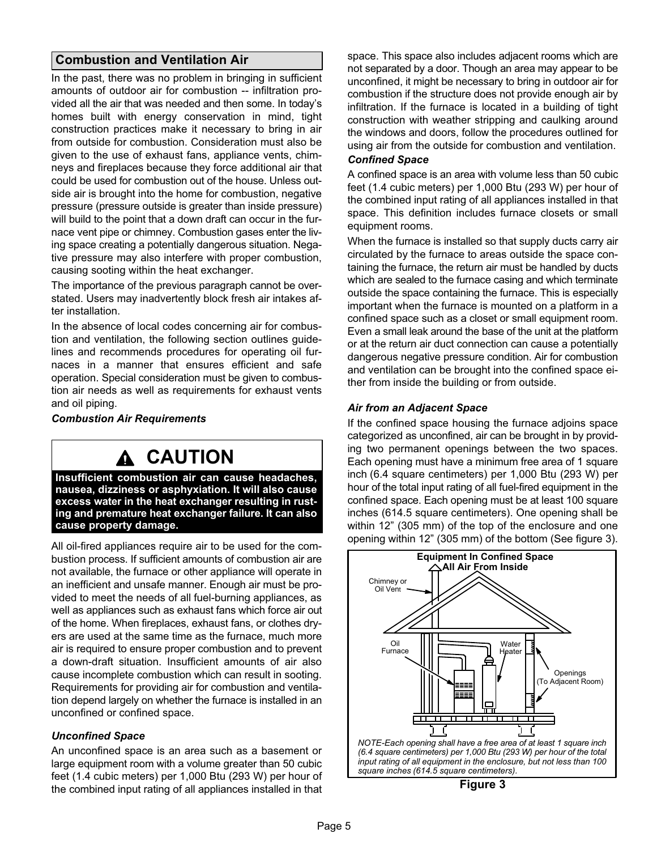### Combustion and Ventilation Air

In the past, there was no problem in bringing in sufficient amounts of outdoor air for combustion −− infiltration provided all the air that was needed and then some. In today's homes built with energy conservation in mind, tight construction practices make it necessary to bring in air from outside for combustion. Consideration must also be given to the use of exhaust fans, appliance vents, chimneys and fireplaces because they force additional air that could be used for combustion out of the house. Unless outside air is brought into the home for combustion, negative pressure (pressure outside is greater than inside pressure) will build to the point that a down draft can occur in the furnace vent pipe or chimney. Combustion gases enter the living space creating a potentially dangerous situation. Negative pressure may also interfere with proper combustion, causing sooting within the heat exchanger.

The importance of the previous paragraph cannot be overstated. Users may inadvertently block fresh air intakes after installation.

In the absence of local codes concerning air for combustion and ventilation, the following section outlines guidelines and recommends procedures for operating oil furnaces in a manner that ensures efficient and safe operation. Special consideration must be given to combustion air needs as well as requirements for exhaust vents and oil piping.

Combustion Air Requirements

## CAUTION

Insufficient combustion air can cause headaches, nausea, dizziness or asphyxiation. It will also cause excess water in the heat exchanger resulting in rusting and premature heat exchanger failure. It can also cause property damage.

All oil-fired appliances require air to be used for the combustion process. If sufficient amounts of combustion air are not available, the furnace or other appliance will operate in an inefficient and unsafe manner. Enough air must be provided to meet the needs of all fuel-burning appliances, as well as appliances such as exhaust fans which force air out of the home. When fireplaces, exhaust fans, or clothes dryers are used at the same time as the furnace, much more air is required to ensure proper combustion and to prevent a down-draft situation. Insufficient amounts of air also cause incomplete combustion which can result in sooting. Requirements for providing air for combustion and ventilation depend largely on whether the furnace is installed in an unconfined or confined space.

#### Unconfined Space

An unconfined space is an area such as a basement or large equipment room with a volume greater than 50 cubic feet (1.4 cubic meters) per 1,000 Btu (293 W) per hour of the combined input rating of all appliances installed in that space. This space also includes adjacent rooms which are not separated by a door. Though an area may appear to be unconfined, it might be necessary to bring in outdoor air for combustion if the structure does not provide enough air by infiltration. If the furnace is located in a building of tight construction with weather stripping and caulking around the windows and doors, follow the procedures outlined for using air from the outside for combustion and ventilation.

### Confined Space

A confined space is an area with volume less than 50 cubic feet (1.4 cubic meters) per 1,000 Btu (293 W) per hour of the combined input rating of all appliances installed in that space. This definition includes furnace closets or small equipment rooms.

When the furnace is installed so that supply ducts carry air circulated by the furnace to areas outside the space containing the furnace, the return air must be handled by ducts which are sealed to the furnace casing and which terminate outside the space containing the furnace. This is especially important when the furnace is mounted on a platform in a confined space such as a closet or small equipment room. Even a small leak around the base of the unit at the platform or at the return air duct connection can cause a potentially dangerous negative pressure condition. Air for combustion and ventilation can be brought into the confined space either from inside the building or from outside.

### Air from an Adjacent Space

If the confined space housing the furnace adjoins space categorized as unconfined, air can be brought in by providing two permanent openings between the two spaces. Each opening must have a minimum free area of 1 square inch (6.4 square centimeters) per 1,000 Btu (293 W) per hour of the total input rating of all fuel-fired equipment in the confined space. Each opening must be at least 100 square inches (614.5 square centimeters). One opening shall be within 12" (305 mm) of the top of the enclosure and one opening within 12" (305 mm) of the bottom (See figure 3).



Figure 3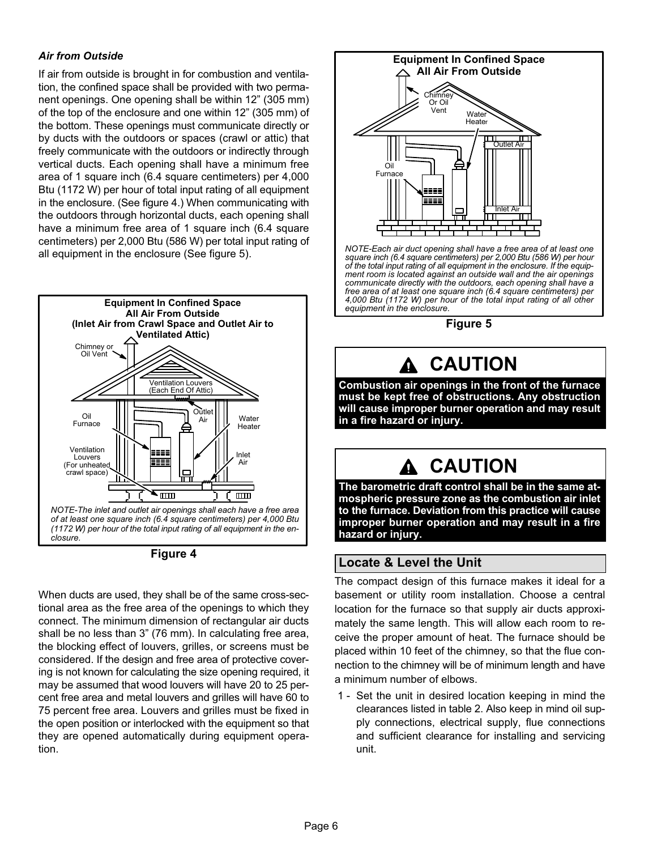### Air from Outside

If air from outside is brought in for combustion and ventilation, the confined space shall be provided with two permanent openings. One opening shall be within 12" (305 mm) of the top of the enclosure and one within 12" (305 mm) of the bottom. These openings must communicate directly or by ducts with the outdoors or spaces (crawl or attic) that freely communicate with the outdoors or indirectly through vertical ducts. Each opening shall have a minimum free area of 1 square inch (6.4 square centimeters) per 4,000 Btu (1172 W) per hour of total input rating of all equipment in the enclosure. (See figure 4.) When communicating with the outdoors through horizontal ducts, each opening shall have a minimum free area of 1 square inch (6.4 square centimeters) per 2,000 Btu (586 W) per total input rating of all equipment in the enclosure (See figure 5).



Figure 4

When ducts are used, they shall be of the same cross−sectional area as the free area of the openings to which they connect. The minimum dimension of rectangular air ducts shall be no less than 3" (76 mm). In calculating free area, the blocking effect of louvers, grilles, or screens must be considered. If the design and free area of protective covering is not known for calculating the size opening required, it may be assumed that wood louvers will have 20 to 25 percent free area and metal louvers and grilles will have 60 to 75 percent free area. Louvers and grilles must be fixed in the open position or interlocked with the equipment so that they are opened automatically during equipment operation.



NOTE−Each air duct opening shall have a free area of at least one square inch (6.4 square centimeters) per 2,000 Btu (586 W) per hour of the total input rating of all equipment in the enclosure. If the equipment room is located against an outside wall and the air openings communicate directly with the outdoors, each opening shall have a free area of at least one square inch (6.4 square centimeters) per 4,000 Btu (1172 W) per hour of the total input rating of all other equipment in the enclosure.



### CAUTION

Combustion air openings in the front of the furnace must be kept free of obstructions. Any obstruction will cause improper burner operation and may result in a fire hazard or injury.

## CAUTION

The barometric draft control shall be in the same atmospheric pressure zone as the combustion air inlet to the furnace. Deviation from this practice will cause improper burner operation and may result in a fire hazard or injury.

### Locate & Level the Unit

The compact design of this furnace makes it ideal for a basement or utility room installation. Choose a central location for the furnace so that supply air ducts approximately the same length. This will allow each room to receive the proper amount of heat. The furnace should be placed within 10 feet of the chimney, so that the flue connection to the chimney will be of minimum length and have a minimum number of elbows.

 1 − Set the unit in desired location keeping in mind the clearances listed in table 2. Also keep in mind oil supply connections, electrical supply, flue connections and sufficient clearance for installing and servicing unit.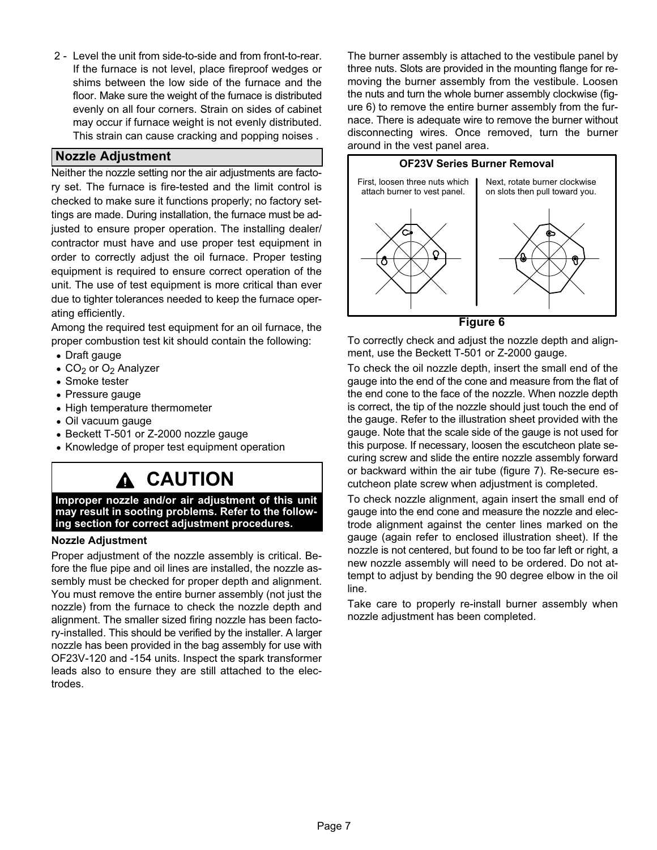2 − Level the unit from side−to−side and from front−to−rear. If the furnace is not level, place fireproof wedges or shims between the low side of the furnace and the floor. Make sure the weight of the furnace is distributed evenly on all four corners. Strain on sides of cabinet may occur if furnace weight is not evenly distributed. This strain can cause cracking and popping noises .

### Nozzle Adjustment

Neither the nozzle setting nor the air adjustments are factory set. The furnace is fire−tested and the limit control is checked to make sure it functions properly; no factory settings are made. During installation, the furnace must be adjusted to ensure proper operation. The installing dealer/ contractor must have and use proper test equipment in order to correctly adjust the oil furnace. Proper testing equipment is required to ensure correct operation of the unit. The use of test equipment is more critical than ever due to tighter tolerances needed to keep the furnace operating efficiently.

Among the required test equipment for an oil furnace, the proper combustion test kit should contain the following:

- Draft gauge
- $CO<sub>2</sub>$  or  $O<sub>2</sub>$  Analyzer
- Smoke tester
- Pressure gauge
- High temperature thermometer
- Oil vacuum gauge
- Beckett T−501 or Z−2000 nozzle gauge
- Knowledge of proper test equipment operation

### **CAUTION**

Improper nozzle and/or air adjustment of this unit may result in sooting problems. Refer to the following section for correct adjustment procedures.

#### Nozzle Adjustment

Proper adjustment of the nozzle assembly is critical. Before the flue pipe and oil lines are installed, the nozzle assembly must be checked for proper depth and alignment. You must remove the entire burner assembly (not just the nozzle) from the furnace to check the nozzle depth and alignment. The smaller sized firing nozzle has been factory−installed. This should be verified by the installer. A larger nozzle has been provided in the bag assembly for use with OF23V−120 and −154 units. Inspect the spark transformer leads also to ensure they are still attached to the electrodes.

The burner assembly is attached to the vestibule panel by three nuts. Slots are provided in the mounting flange for removing the burner assembly from the vestibule. Loosen the nuts and turn the whole burner assembly clockwise (figure 6) to remove the entire burner assembly from the furnace. There is adequate wire to remove the burner without disconnecting wires. Once removed, turn the burner around in the vest panel area.



Figure 6

To correctly check and adjust the nozzle depth and alignment, use the Beckett T−501 or Z−2000 gauge.

To check the oil nozzle depth, insert the small end of the gauge into the end of the cone and measure from the flat of the end cone to the face of the nozzle. When nozzle depth is correct, the tip of the nozzle should just touch the end of the gauge. Refer to the illustration sheet provided with the gauge. Note that the scale side of the gauge is not used for this purpose. If necessary, loosen the escutcheon plate securing screw and slide the entire nozzle assembly forward or backward within the air tube (figure [7](#page-7-0)). Re−secure escutcheon plate screw when adjustment is completed.

To check nozzle alignment, again insert the small end of gauge into the end cone and measure the nozzle and electrode alignment against the center lines marked on the gauge (again refer to enclosed illustration sheet). If the nozzle is not centered, but found to be too far left or right, a new nozzle assembly will need to be ordered. Do not attempt to adjust by bending the 90 degree elbow in the oil line.

Take care to properly re−install burner assembly when nozzle adjustment has been completed.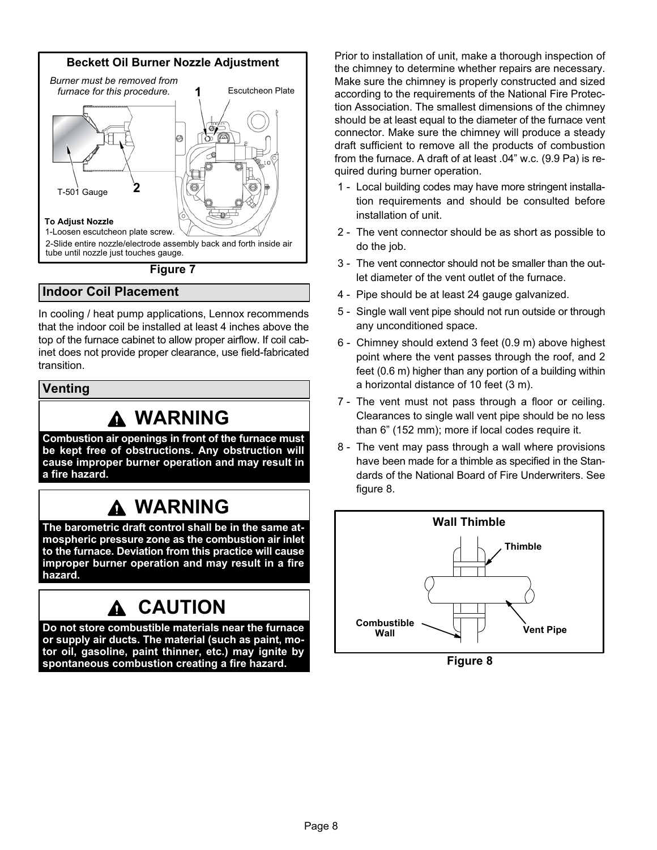<span id="page-7-0"></span>

### Figure 7

### Indoor Coil Placement

In cooling / heat pump applications, Lennox recommends that the indoor coil be installed at least 4 inches above the top of the furnace cabinet to allow proper airflow. If coil cabinet does not provide proper clearance, use field−fabricated transition.

Venting

### WARNING

Combustion air openings in front of the furnace must be kept free of obstructions. Any obstruction will cause improper burner operation and may result in a fire hazard.

### **A WARNING**

The barometric draft control shall be in the same atmospheric pressure zone as the combustion air inlet to the furnace. Deviation from this practice will cause improper burner operation and may result in a fire hazard.

### CAUTION

Do not store combustible materials near the furnace or supply air ducts. The material (such as paint, motor oil, gasoline, paint thinner, etc.) may ignite by spontaneous combustion creating a fire hazard.

Prior to installation of unit, make a thorough inspection of the chimney to determine whether repairs are necessary. Make sure the chimney is properly constructed and sized according to the requirements of the National Fire Protection Association. The smallest dimensions of the chimney should be at least equal to the diameter of the furnace vent connector. Make sure the chimney will produce a steady draft sufficient to remove all the products of combustion from the furnace. A draft of at least .04" w.c. (9.9 Pa) is required during burner operation.

- 1 − Local building codes may have more stringent installation requirements and should be consulted before installation of unit.
- 2 The vent connector should be as short as possible to do the job.
- 3 − The vent connector should not be smaller than the outlet diameter of the vent outlet of the furnace.
- 4 − Pipe should be at least 24 gauge galvanized.
- 5 − Single wall vent pipe should not run outside or through any unconditioned space.
- 6 − Chimney should extend 3 feet (0.9 m) above highest point where the vent passes through the roof, and 2 feet (0.6 m) higher than any portion of a building within a horizontal distance of 10 feet (3 m).
- 7 The vent must not pass through a floor or ceiling. Clearances to single wall vent pipe should be no less than 6" (152 mm); more if local codes require it.
- 8 The vent may pass through a wall where provisions have been made for a thimble as specified in the Standards of the National Board of Fire Underwriters. See figure 8.



Figure 8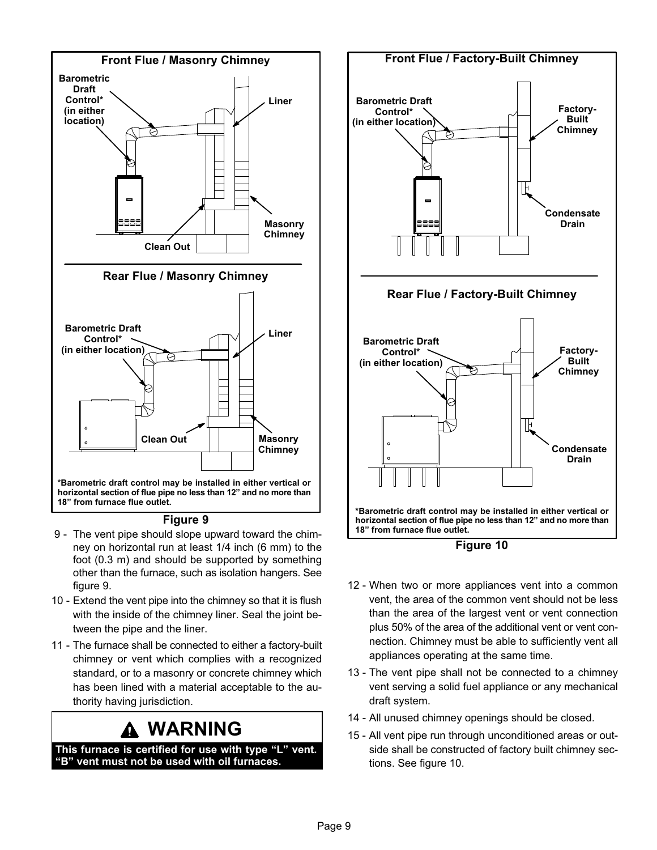

#### Figure 9

- 9 The vent pipe should slope upward toward the chimney on horizontal run at least 1/4 inch (6 mm) to the foot (0.3 m) and should be supported by something other than the furnace, such as isolation hangers. See figure 9.
- 10 Extend the vent pipe into the chimney so that it is flush with the inside of the chimney liner. Seal the joint between the pipe and the liner.
- 11 − The furnace shall be connected to either a factory−built chimney or vent which complies with a recognized standard, or to a masonry or concrete chimney which has been lined with a material acceptable to the authority having jurisdiction.

### WARNING

This furnace is certified for use with type "L" vent. -B" vent must not be used with oil furnaces.





- 12 − When two or more appliances vent into a common vent, the area of the common vent should not be less than the area of the largest vent or vent connection plus 50% of the area of the additional vent or vent connection. Chimney must be able to sufficiently vent all appliances operating at the same time.
- 13 The vent pipe shall not be connected to a chimney vent serving a solid fuel appliance or any mechanical draft system.
- 14 All unused chimney openings should be closed.
- 15 − All vent pipe run through unconditioned areas or outside shall be constructed of factory built chimney sections. See figure 10.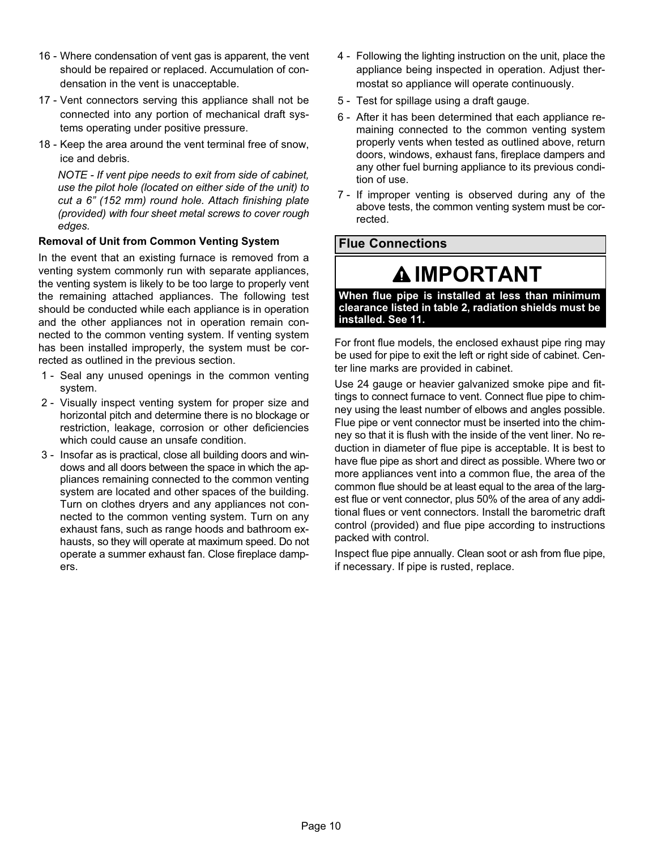- 16 − Where condensation of vent gas is apparent, the vent should be repaired or replaced. Accumulation of condensation in the vent is unacceptable.
- 17 Vent connectors serving this appliance shall not be connected into any portion of mechanical draft systems operating under positive pressure.
- 18 Keep the area around the vent terminal free of snow. ice and debris.

NOTE − If vent pipe needs to exit from side of cabinet, use the pilot hole (located on either side of the unit) to cut a 6" (152 mm) round hole. Attach finishing plate (provided) with four sheet metal screws to cover rough edges.

### Removal of Unit from Common Venting System

In the event that an existing furnace is removed from a venting system commonly run with separate appliances, the venting system is likely to be too large to properly vent the remaining attached appliances. The following test should be conducted while each appliance is in operation and the other appliances not in operation remain connected to the common venting system. If venting system has been installed improperly, the system must be corrected as outlined in the previous section.

- 1 Seal any unused openings in the common venting system.
- 2 − Visually inspect venting system for proper size and horizontal pitch and determine there is no blockage or restriction, leakage, corrosion or other deficiencies which could cause an unsafe condition.
- 3 − Insofar as is practical, close all building doors and windows and all doors between the space in which the appliances remaining connected to the common venting system are located and other spaces of the building. Turn on clothes dryers and any appliances not connected to the common venting system. Turn on any exhaust fans, such as range hoods and bathroom exhausts, so they will operate at maximum speed. Do not operate a summer exhaust fan. Close fireplace dampers.
- 4 − Following the lighting instruction on the unit, place the appliance being inspected in operation. Adjust thermostat so appliance will operate continuously.
- 5 − Test for spillage using a draft gauge.
- 6 − After it has been determined that each appliance remaining connected to the common venting system properly vents when tested as outlined above, return doors, windows, exhaust fans, fireplace dampers and any other fuel burning appliance to its previous condition of use.
- 7 If improper venting is observed during any of the above tests, the common venting system must be corrected.

### Flue Connections

### IMPORTANT

When flue pipe is installed at less than minimum clearance listed in table 2, radiation shields must be installed. See [11.](#page-10-0)

For front flue models, the enclosed exhaust pipe ring may be used for pipe to exit the left or right side of cabinet. Center line marks are provided in cabinet.

Use 24 gauge or heavier galvanized smoke pipe and fittings to connect furnace to vent. Connect flue pipe to chimney using the least number of elbows and angles possible. Flue pipe or vent connector must be inserted into the chimney so that it is flush with the inside of the vent liner. No reduction in diameter of flue pipe is acceptable. It is best to have flue pipe as short and direct as possible. Where two or more appliances vent into a common flue, the area of the common flue should be at least equal to the area of the largest flue or vent connector, plus 50% of the area of any additional flues or vent connectors. Install the barometric draft control (provided) and flue pipe according to instructions packed with control.

Inspect flue pipe annually. Clean soot or ash from flue pipe, if necessary. If pipe is rusted, replace.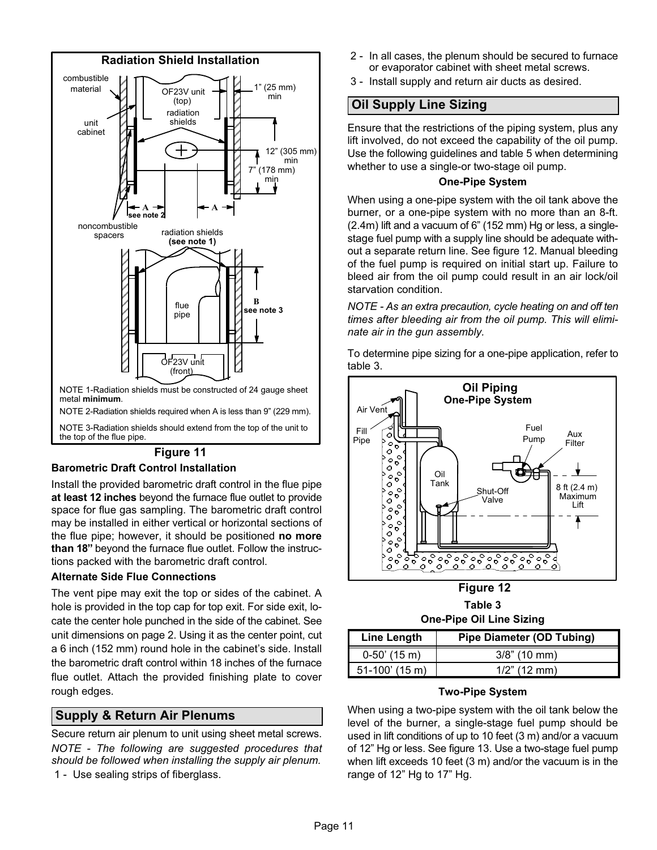<span id="page-10-0"></span>

#### Figure 11

#### Barometric Draft Control Installation

Install the provided barometric draft control in the flue pipe at least 12 inches beyond the furnace flue outlet to provide space for flue gas sampling. The barometric draft control may be installed in either vertical or horizontal sections of the flue pipe; however, it should be positioned no more than 18" beyond the furnace flue outlet. Follow the instructions packed with the barometric draft control.

#### Alternate Side Flue Connections

The vent pipe may exit the top or sides of the cabinet. A hole is provided in the top cap for top exit. For side exit, locate the center hole punched in the side of the cabinet. See unit dimensions on page 2. Using it as the center point, cut a 6 inch (152 mm) round hole in the cabinet's side. Install the barometric draft control within 18 inches of the furnace flue outlet. Attach the provided finishing plate to cover rough edges.

### Supply & Return Air Plenums

Secure return air plenum to unit using sheet metal screws. NOTE − The following are suggested procedures that should be followed when installing the supply air plenum. 1 - Use sealing strips of fiberglass.

- 2 − In all cases, the plenum should be secured to furnace or evaporator cabinet with sheet metal screws.
- $\lvert \bigwedge \rvert$   $\lvert \bigvee \rvert$   $\lvert \bigvee \rvert$   $\lvert \bigvee \rvert$   $\lvert \bigvee \rvert$   $\lvert \bigvee \rvert$   $\lvert \bigvee \rvert$   $\lvert \bigvee \rvert$   $\lvert \bigvee \rvert$   $\lvert \bigvee \rvert$   $\lvert \bigvee \rvert$   $\lvert \bigvee \rvert$   $\lvert \bigvee \rvert$   $\lvert \bigvee \rvert$   $\lvert \bigvee \rvert$   $\lvert \bigvee \rvert$   $\lvert \bigvee \rvert$

 $\mathbb{Z}$   $\blacksquare$  $\begin{bmatrix} 1 \end{bmatrix}$   $\begin{bmatrix} 1 \end{bmatrix}$   $\begin{bmatrix} 3 \end{bmatrix}$   $\begin{bmatrix} 1 \end{bmatrix}$   $\begin{bmatrix} 2 \end{bmatrix}$   $\begin{bmatrix} 3 \end{bmatrix}$  Use the following guidelines and table [5](#page-11-0) when determining <del></del> E∈ÉÉÉE E The Muslim of the whether to use a single-or two-stage oil pump. lift involved, do not exceed the capability of the oil pump.

(Henry stem with the oil tank above the control of the oil tank above the control of the control of the control of the control of the control of the control of the control of the control of the control of the control of t V See note 2 | <sup>A</sup> Fl computed burner, or a one-pipe system with no more than an 8-ft.  $\Box$   $\Box$   $\Box$   $\Box$   $\Box$   $\Box$   $\Box$  of the fuel pump is required on initial start up. Failure to  $\mathcal{F}$   $\Box$   $\Box$   $\Box$   $\Box$   $\Box$   $\Box$  bleed air from the oil pump could result in an air lock/oil (2.4m) lift and a vacuum of 6" (152 mm) Hg or less, a single− stage fuel pump with a supply line should be adequate without a separate return line. See figure 12. Manual bleeding starvation condition.

> NOTE − As an extra precaution, cycle heating on and off ten times after bleeding air from the oil pump. This will elimi-

> To determine pipe sizing for a one−pipe application, refer to table 3.



Figure 12 Table 3 One−Pipe Oil Line Sizing

| <b>Line Length</b> | <b>Pipe Diameter (OD Tubing)</b> |
|--------------------|----------------------------------|
| $0-50'$ (15 m)     | $3/8$ " (10 mm)                  |
| $51-100'$ (15 m)   | $1/2$ " (12 mm)                  |

#### Two−Pipe System

When using a two−pipe system with the oil tank below the level of the burner, a single−stage fuel pump should be used in lift conditions of up to 10 feet (3 m) and/or a vacuum of 12" Hg or less. See figure [13](#page-11-0). Use a two−stage fuel pump when lift exceeds 10 feet (3 m) and/or the vacuum is in the range of 12" Hg to 17" Hg.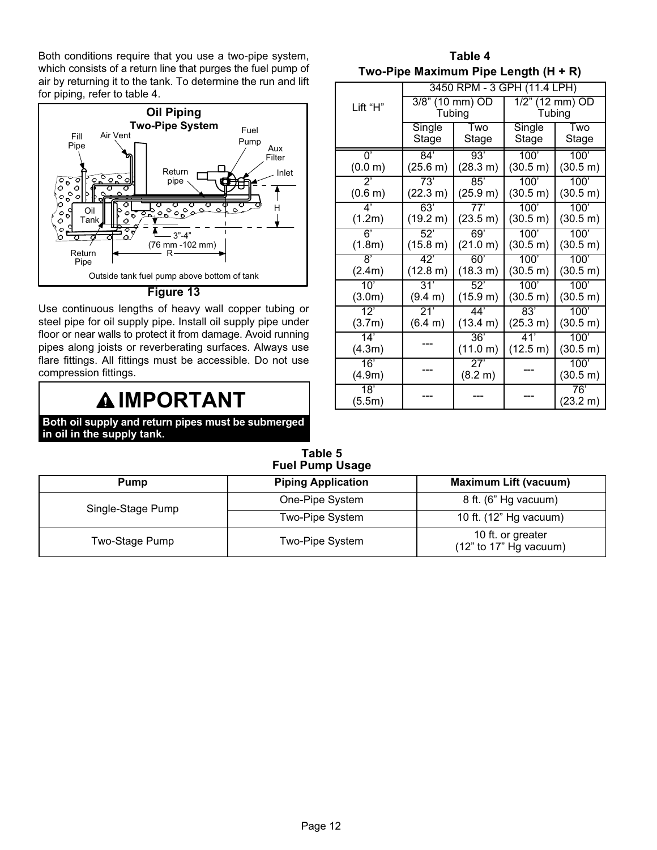<span id="page-11-0"></span>Both conditions require that you use a two−pipe system, which consists of a return line that purges the fuel pump of air by returning it to the tank. To determine the run and lift for piping, refer to table 4.



#### Figure 13

Use continuous lengths of heavy wall copper tubing or steel pipe for oil supply pipe. Install oil supply pipe under floor or near walls to protect it from damage. Avoid running pipes along joists or reverberating surfaces. Always use flare fittings. All fittings must be accessible. Do not use compression fittings.

### **AIMPORTANT**

Both oil supply and return pipes must be submerged in oil in the supply tank.

| Table 4                              |  |
|--------------------------------------|--|
| Two-Pipe Maximum Pipe Length (H + R) |  |

|              | 3450 RPM - 3 GPH (11.4 LPH) |          |                    |          |  |  |  |  |  |  |
|--------------|-----------------------------|----------|--------------------|----------|--|--|--|--|--|--|
| Lift "H"     | 3/8" (10 mm) OD<br>Tubing   |          | $1/2$ " (12 mm) OD |          |  |  |  |  |  |  |
|              |                             |          | Tubing             |          |  |  |  |  |  |  |
|              | Single                      | Two      | Single             | Two      |  |  |  |  |  |  |
|              | Stage                       | Stage    | Stage              | Stage    |  |  |  |  |  |  |
| U,           | 84'                         | 93'      | 100'               | 100'     |  |  |  |  |  |  |
| (0.0 m)      | (25.6 m)                    | (28.3 m) | (30.5 m)           | (30.5 m) |  |  |  |  |  |  |
| $2^{\prime}$ | 73'                         | 85'      | 100'               | 100'     |  |  |  |  |  |  |
| (0.6 m)      | (22.3 m)                    | (25.9 m) | (30.5 m)           | (30.5 m) |  |  |  |  |  |  |
| $4^"$        | 63'                         | 77'      | 100'               | 100'     |  |  |  |  |  |  |
| (1.2m)       | (19.2 m)                    | (23.5 m) | (30.5 m)           | (30.5 m) |  |  |  |  |  |  |
| 6'           | 52'                         | 69'      | 100'               | 100'     |  |  |  |  |  |  |
| (1.8m)       | (15.8 m)                    | (21.0 m) | (30.5 m)           | (30.5 m) |  |  |  |  |  |  |
| 8'           | 42'                         | 60'      | 100'               | 100'     |  |  |  |  |  |  |
| (2.4m)       | $(12.8 \text{ m})$          | (18.3 m) | (30.5 m)           | (30.5 m) |  |  |  |  |  |  |
| 10'          | 31'                         | 52'      | 100'               | 100'     |  |  |  |  |  |  |
| (3.0m)       | (9.4 m)                     | (15.9 m) | (30.5 m)           | (30.5 m) |  |  |  |  |  |  |
| $12^7$       | 21'                         | 44'      | 83'                | 100'     |  |  |  |  |  |  |
| (3.7m)       | (6.4 m)                     | (13.4 m) | (25.3 m)           | (30.5 m) |  |  |  |  |  |  |
| 14'          |                             | 36'      | 41'                | 100'     |  |  |  |  |  |  |
| (4.3m)       |                             | (11.0 m) | (12.5 m)           | (30.5 m) |  |  |  |  |  |  |
| 16'          |                             | 27'      |                    | 100'     |  |  |  |  |  |  |
| (4.9m)       |                             | (8.2 m)  |                    | (30.5 m) |  |  |  |  |  |  |
| 18'          |                             |          |                    | 76'      |  |  |  |  |  |  |
| (5.5m)       |                             |          |                    | (23.2 m) |  |  |  |  |  |  |

Table 5 Fuel Pump Usage

| Pump              | <b>Piping Application</b> | <b>Maximum Lift (vacuum)</b>                  |  |  |  |  |  |  |  |  |
|-------------------|---------------------------|-----------------------------------------------|--|--|--|--|--|--|--|--|
| Single-Stage Pump | One-Pipe System           | 8 ft. (6" Hg vacuum)                          |  |  |  |  |  |  |  |  |
|                   | Two-Pipe System           | 10 ft. (12" Hg vacuum)                        |  |  |  |  |  |  |  |  |
| Two-Stage Pump    | Two-Pipe System           | 10 ft. or greater<br>$(12"$ to 17" Hg vacuum) |  |  |  |  |  |  |  |  |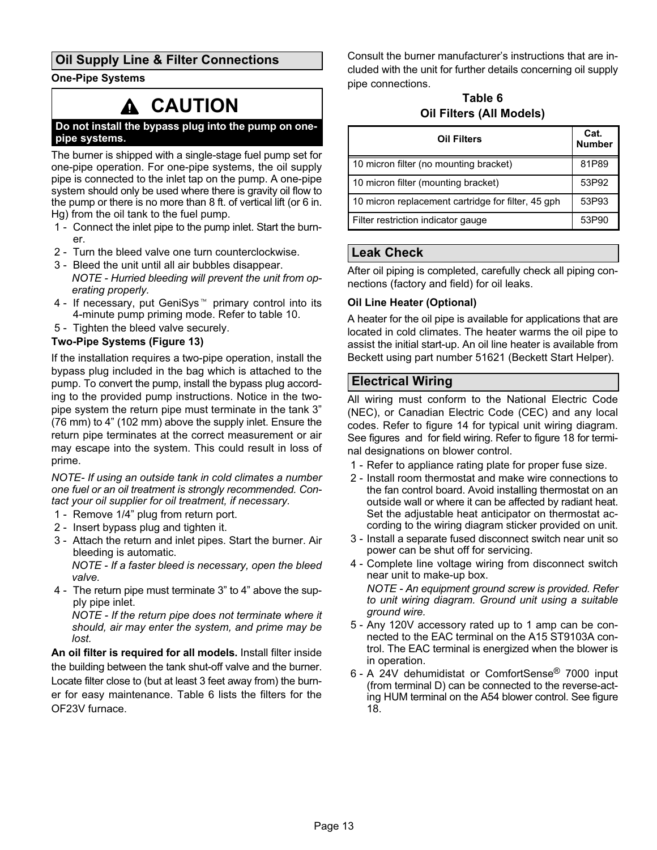### Oil Supply Line & Filter Connections

#### One−Pipe Systems

### CAUTION

#### Do not install the bypass plug into the pump on one− pipe systems.

The burner is shipped with a single−stage fuel pump set for one−pipe operation. For one−pipe systems, the oil supply pipe is connected to the inlet tap on the pump. A one−pipe system should only be used where there is gravity oil flow to the pump or there is no more than 8 ft. of vertical lift (or 6 in. Hg) from the oil tank to the fuel pump.

- 1 Connect the inlet pipe to the pump inlet. Start the burner.
- 2 Turn the bleed valve one turn counterclockwise.
- 3 − Bleed the unit until all air bubbles disappear. NOTE − Hurried bleeding will prevent the unit from operating properly.
- 4 If necessary, put GeniSys<sup>™</sup> primary control into its 4−minute pump priming mode. Refer to table [10.](#page-22-0)
- 5 Tighten the bleed valve securely.

#### Two−Pipe Systems (Figure [13\)](#page-11-0)

If the installation requires a two−pipe operation, install the bypass plug included in the bag which is attached to the pump. To convert the pump, install the bypass plug according to the provided pump instructions. Notice in the twopipe system the return pipe must terminate in the tank 3" (76 mm) to 4" (102 mm) above the supply inlet. Ensure the return pipe terminates at the correct measurement or air may escape into the system. This could result in loss of prime.

NOTE− If using an outside tank in cold climates a number one fuel or an oil treatment is strongly recommended. Contact your oil supplier for oil treatment, if necessary.

- 1 Remove 1/4" plug from return port.
- 2 − Insert bypass plug and tighten it.
- 3 − Attach the return and inlet pipes. Start the burner. Air bleeding is automatic.

NOTE − If a faster bleed is necessary, open the bleed valve.

 4 − The return pipe must terminate 3" to 4" above the supply pipe inlet.

NOTE − If the return pipe does not terminate where it should, air may enter the system, and prime may be lost.

An oil filter is required for all models. Install filter inside the building between the tank shut-off valve and the burner. Locate filter close to (but at least 3 feet away from) the burner for easy maintenance. Table 6 lists the filters for the OF23V furnace.

Consult the burner manufacturer's instructions that are included with the unit for further details concerning oil supply pipe connections.

### Table 6 Oil Filters (All Models)

| <b>Oil Filters</b>                                 | Cat.<br><b>Number</b> |
|----------------------------------------------------|-----------------------|
| 10 micron filter (no mounting bracket)             | 81P89                 |
| 10 micron filter (mounting bracket)                | 53P92                 |
| 10 micron replacement cartridge for filter, 45 gph | 53P93                 |
| Filter restriction indicator gauge                 | 53P90                 |

### Leak Check

After oil piping is completed, carefully check all piping connections (factory and field) for oil leaks.

#### Oil Line Heater (Optional)

A heater for the oil pipe is available for applications that are located in cold climates. The heater warms the oil pipe to assist the initial start−up. An oil line heater is available from Beckett using part number 51621 (Beckett Start Helper).

### Electrical Wiring

All wiring must conform to the National Electric Code (NEC), or Canadian Electric Code (CEC) and any local codes. Refer to figure [14](#page-13-0) for typical unit wiring diagram. See figures and for field wiring. Refer to figure [18](#page-18-0) for terminal designations on blower control.

- 1 Refer to appliance rating plate for proper fuse size.
- 2 − Install room thermostat and make wire connections to the fan control board. Avoid installing thermostat on an outside wall or where it can be affected by radiant heat. Set the adjustable heat anticipator on thermostat according to the wiring diagram sticker provided on unit.
- 3 − Install a separate fused disconnect switch near unit so power can be shut off for servicing.
- 4 − Complete line voltage wiring from disconnect switch near unit to make-up box. NOTE − An equipment ground screw is provided. Refer to unit wiring diagram. Ground unit using a suitable ground wire.
- 5 − Any 120V accessory rated up to 1 amp can be connected to the EAC terminal on the A15 ST9103A control. The EAC terminal is energized when the blower is in operation.
- 6 − A 24V dehumidistat or ComfortSense® 7000 input (from terminal D) can be connected to the reverse−acting HUM terminal on the A54 blower control. See figure [18](#page-18-0).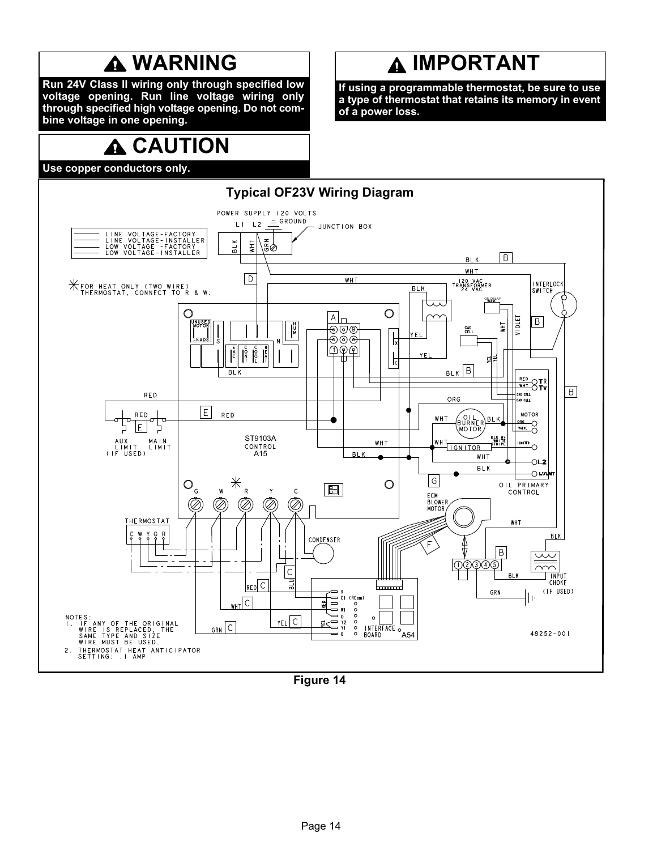## **A WARNING**

<span id="page-13-0"></span>Run 24V Class II wiring only through specified low voltage opening. Run line voltage wiring only through specified high voltage opening. Do not combine voltage in one opening.

# **A CAUTION**

Use copper conductors only.

# **A IMPORTANT**

If using a programmable thermostat, be sure to use a type of thermostat that retains its memory in event of a power loss.



Figure 14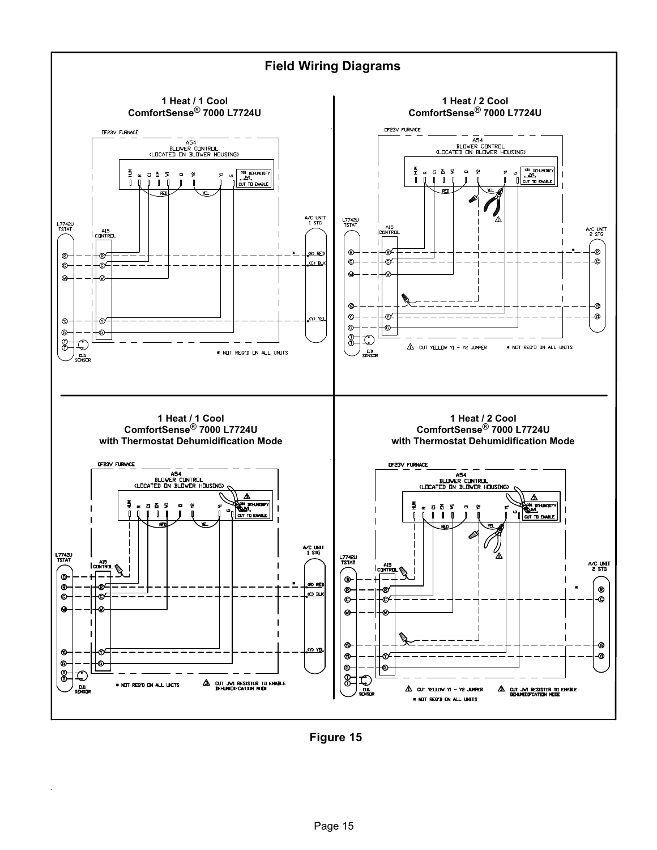

Figure 15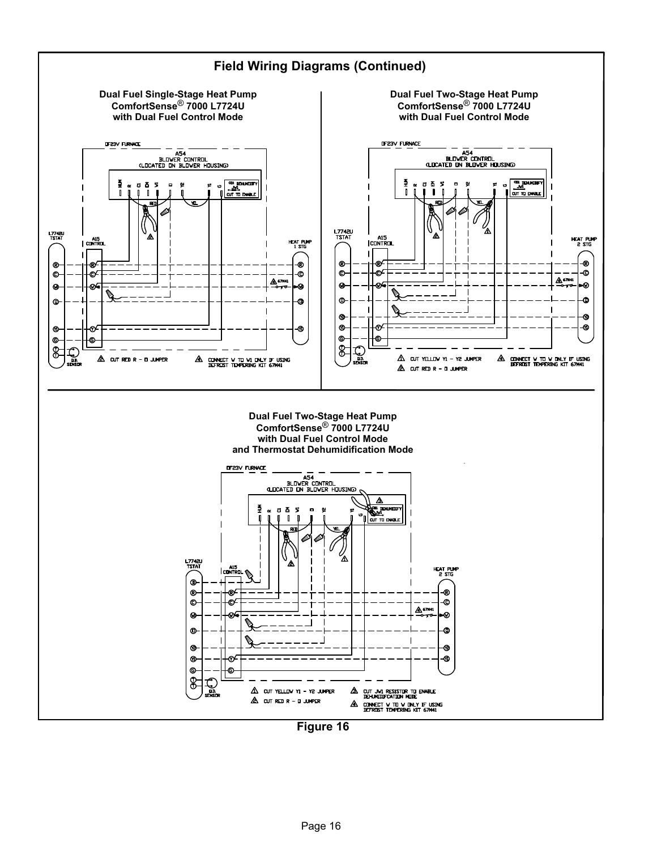

Figure 16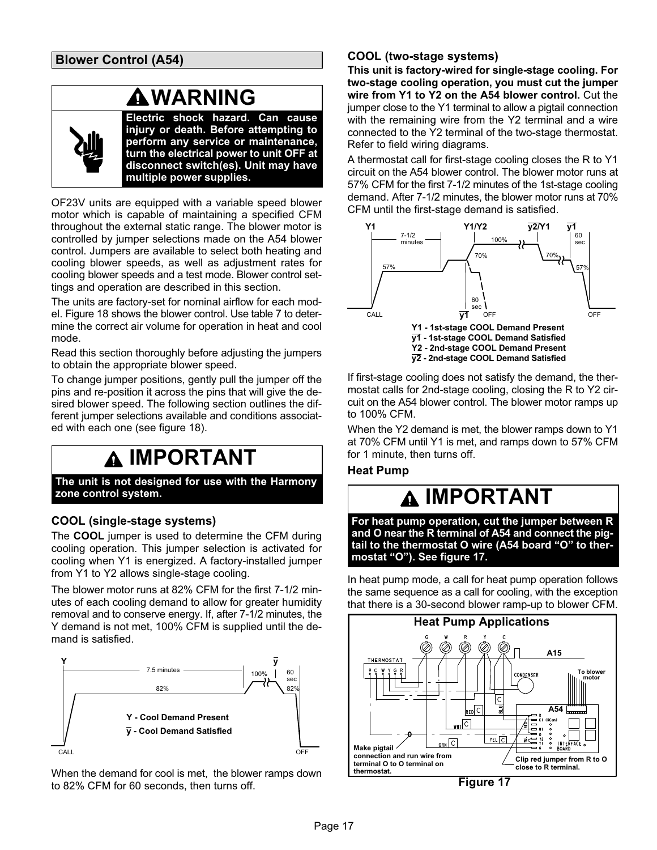Blower Control (A54)

### WARNING

Electric shock hazard. Can cause injury or death. Before attempting to perform any service or maintenance, turn the electrical power to unit OFF at disconnect switch(es). Unit may have multiple power supplies.

OF23V units are equipped with a variable speed blower motor which is capable of maintaining a specified CFM throughout the external static range. The blower motor is controlled by jumper selections made on the A54 blower control. Jumpers are available to select both heating and cooling blower speeds, as well as adjustment rates for cooling blower speeds and a test mode. Blower control settings and operation are described in this section.

The units are factory−set for nominal airflow for each model. Figure [18](#page-18-0) shows the blower control. Use table [7](#page-18-0) to determine the correct air volume for operation in heat and cool mode.

Read this section thoroughly before adjusting the jumpers to obtain the appropriate blower speed.

To change jumper positions, gently pull the jumper off the pins and re−position it across the pins that will give the desired blower speed. The following section outlines the different jumper selections available and conditions associated with each one (see figure [18](#page-18-0)).

## IMPORTANT

The unit is not designed for use with the Harmony zone control system.

### COOL (single-stage systems)

The COOL jumper is used to determine the CFM during cooling operation. This jumper selection is activated for cooling when Y1 is energized. A factory−installed jumper from Y1 to Y2 allows single−stage cooling.

The blower motor runs at 82% CFM for the first 7−1/2 minutes of each cooling demand to allow for greater humidity removal and to conserve energy. If, after 7−1/2 minutes, the Y demand is not met, 100% CFM is supplied until the demand is satisfied.



When the demand for cool is met, the blower ramps down to 82% CFM for 60 seconds, then turns off.

### COOL (two-stage systems)

This unit is factory−wired for single−stage cooling. For two−stage cooling operation, you must cut the jumper wire from Y1 to Y2 on the A54 blower control. Cut the jumper close to the Y1 terminal to allow a pigtail connection with the remaining wire from the Y2 terminal and a wire connected to the Y2 terminal of the two−stage thermostat. Refer to field wiring diagrams.

A thermostat call for first-stage cooling closes the R to Y1 circuit on the A54 blower control. The blower motor runs at 57% CFM for the first 7−1/2 minutes of the 1st−stage cooling demand. After 7−1/2 minutes, the blower motor runs at 70% CFM until the first−stage demand is satisfied.



If first−stage cooling does not satisfy the demand, the thermostat calls for 2nd-stage cooling, closing the R to Y2 circuit on the A54 blower control. The blower motor ramps up to 100% CFM.

When the Y2 demand is met, the blower ramps down to Y1 at 70% CFM until Y1 is met, and ramps down to 57% CFM for 1 minute, then turns off.

### Heat Pump

### IMPORTANT

For heat pump operation, cut the jumper between R and O near the R terminal of A54 and connect the pigtail to the thermostat O wire (A54 board "O" to thermostat "O"). See figure 17.

In heat pump mode, a call for heat pump operation follows the same sequence as a call for cooling, with the exception that there is a 30−second blower ramp−up to blower CFM.



Figure 17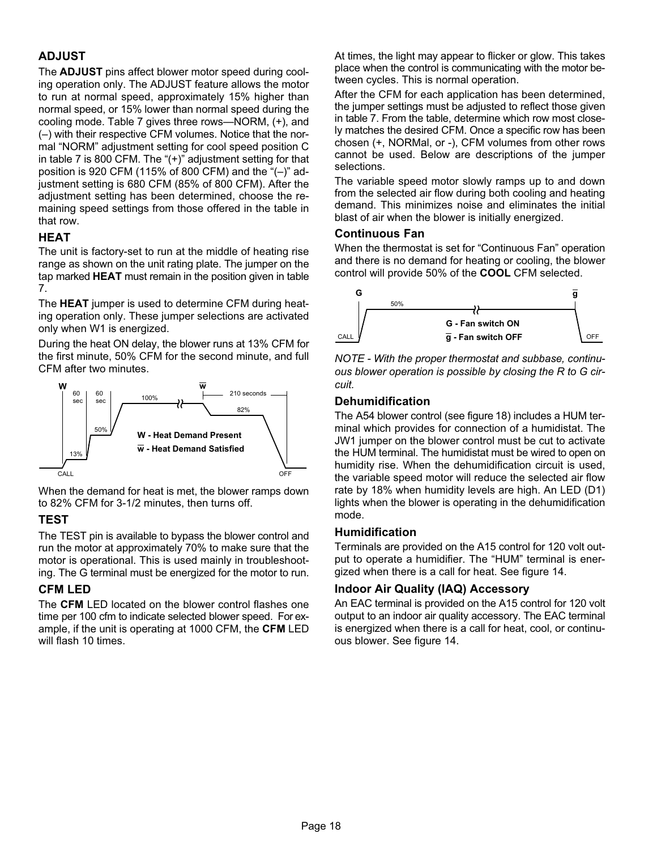### ADJUST

The ADJUST pins affect blower motor speed during cooling operation only. The ADJUST feature allows the motor to run at normal speed, approximately 15% higher than normal speed, or 15% lower than normal speed during the cooling mode. Table [7](#page-18-0) gives three rows--NORM,  $(+)$ , and (–) with their respective CFM volumes. Notice that the normal "NORM" adjustment setting for cool speed position C in table [7](#page-18-0) is 800 CFM. The "(+)" adjustment setting for that position is 920 CFM (115% of 800 CFM) and the "(–)" adjustment setting is 680 CFM (85% of 800 CFM). After the adjustment setting has been determined, choose the remaining speed settings from those offered in the table in that row.

### **HEAT**

The unit is factory−set to run at the middle of heating rise range as shown on the unit rating plate. The jumper on the tap marked HEAT must remain in the position given in table [7](#page-18-0).

The HEAT jumper is used to determine CFM during heating operation only. These jumper selections are activated only when W1 is energized.

During the heat ON delay, the blower runs at 13% CFM for the first minute, 50% CFM for the second minute, and full CFM after two minutes.



When the demand for heat is met, the blower ramps down to 82% CFM for 3−1/2 minutes, then turns off.

### **TEST**

The TEST pin is available to bypass the blower control and run the motor at approximately 70% to make sure that the motor is operational. This is used mainly in troubleshooting. The G terminal must be energized for the motor to run.

### CFM LED

The CFM LED located on the blower control flashes one time per 100 cfm to indicate selected blower speed. For example, if the unit is operating at 1000 CFM, the CFM LED will flash 10 times.

At times, the light may appear to flicker or glow. This takes place when the control is communicating with the motor between cycles. This is normal operation.

After the CFM for each application has been determined, the jumper settings must be adjusted to reflect those given in table [7.](#page-18-0) From the table, determine which row most closely matches the desired CFM. Once a specific row has been chosen (+, NORMal, or −), CFM volumes from other rows cannot be used. Below are descriptions of the jumper selections.

The variable speed motor slowly ramps up to and down from the selected air flow during both cooling and heating demand. This minimizes noise and eliminates the initial blast of air when the blower is initially energized.

### Continuous Fan

When the thermostat is set for "Continuous Fan" operation and there is no demand for heating or cooling, the blower control will provide 50% of the COOL CFM selected.



NOTE − With the proper thermostat and subbase, continuous blower operation is possible by closing the R to G circuit.

### Dehumidification

The A54 blower control (see figure [18\)](#page-18-0) includes a HUM terminal which provides for connection of a humidistat. The JW1 jumper on the blower control must be cut to activate the HUM terminal. The humidistat must be wired to open on humidity rise. When the dehumidification circuit is used, the variable speed motor will reduce the selected air flow rate by 18% when humidity levels are high. An LED (D1) lights when the blower is operating in the dehumidification mode.

### Humidification

Terminals are provided on the A15 control for 120 volt output to operate a humidifier. The "HUM" terminal is energized when there is a call for heat. See figure [14.](#page-13-0)

### Indoor Air Quality (IAQ) Accessory

An EAC terminal is provided on the A15 control for 120 volt output to an indoor air quality accessory. The EAC terminal is energized when there is a call for heat, cool, or continuous blower. See figure [14](#page-13-0).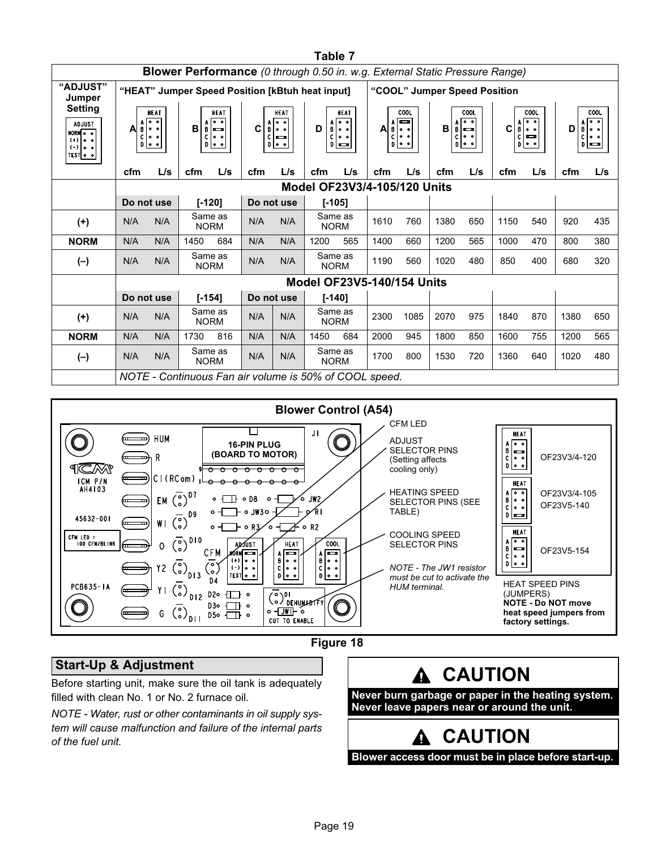<span id="page-18-0"></span>

|                                                                                                | Table 7                                                                            |                                               |                        |                                                  |                                                          |                        |                                   |                                                                                                  |                                                                  |      |                                                                |     |                                                                                                                            |     |                                                                                    |     |
|------------------------------------------------------------------------------------------------|------------------------------------------------------------------------------------|-----------------------------------------------|------------------------|--------------------------------------------------|----------------------------------------------------------|------------------------|-----------------------------------|--------------------------------------------------------------------------------------------------|------------------------------------------------------------------|------|----------------------------------------------------------------|-----|----------------------------------------------------------------------------------------------------------------------------|-----|------------------------------------------------------------------------------------|-----|
|                                                                                                | <b>Blower Performance</b> (0 through 0.50 in. w.g. External Static Pressure Range) |                                               |                        |                                                  |                                                          |                        |                                   |                                                                                                  |                                                                  |      |                                                                |     |                                                                                                                            |     |                                                                                    |     |
| "ADJUST"<br>Jumper                                                                             | "HEAT" Jumper Speed Position [kBtuh heat input]                                    |                                               |                        |                                                  |                                                          |                        |                                   |                                                                                                  | "COOL" Jumper Speed Position                                     |      |                                                                |     |                                                                                                                            |     |                                                                                    |     |
| <b>Setting</b><br><b>ADJUST</b><br>NORM <sub>O</sub> o<br>$(+)$ 0 0<br>$(-)$ 0 0<br>TEST   0 0 | A<br>B<br>c<br>$D$ $\circ$                                                         | <b>HEAT</b><br>ि ०<br>$  \circ \circ$<br>lo o | B<br>B<br>c            | <b>HEAT</b><br>ঢ়িত<br>∣⇔<br>ه ه <br>$D$ $\circ$ | <b>HEAT</b><br>lo o<br>C<br>B 00<br>$C =$<br>$D$ $\circ$ |                        | D<br>c                            | HEAT<br>াত<br>$\frac{A}{B}$ $\begin{bmatrix} 0 & 0 \\ 0 & 0 \end{bmatrix}$<br>ه ه <br>$D \equiv$ | COOL<br>ञ्च<br>A<br>B 0<br>C<br>$ 0 \> 0$<br>$D _{\mathbf{0}}$ o |      | COOL<br> ००<br>B<br>$\sim$<br>$\circ$ $\circ$<br>C<br> 00<br>D |     | COOL<br>$A$ $\overline{0}$ $\overline{0}$<br>$\mathbf{C}$<br>$\mathbf{B}$<br>lo o<br>l acco<br>$\mathbf{c}$<br>$D$ $\circ$ |     | COOL<br>$\overline{\bullet}$<br>A<br>D<br>$B$ $\circ$<br>$C$ $\circ$<br>$D \equiv$ |     |
|                                                                                                | cfm                                                                                | L/s                                           | cfm                    | L/s                                              | cfm                                                      | L/s                    | cfm                               | L/s                                                                                              | cfm                                                              | L/s  | cfm                                                            | L/s | cfm                                                                                                                        | L/s | cfm                                                                                | L/s |
|                                                                                                | Model OF23V3/4-105/120 Units                                                       |                                               |                        |                                                  |                                                          |                        |                                   |                                                                                                  |                                                                  |      |                                                                |     |                                                                                                                            |     |                                                                                    |     |
|                                                                                                | Do not use                                                                         |                                               | $[-120]$               |                                                  |                                                          | Do not use             | $[-105]$                          |                                                                                                  |                                                                  |      |                                                                |     |                                                                                                                            |     |                                                                                    |     |
| $(+)$                                                                                          | N/A                                                                                | N/A                                           | Same as<br><b>NORM</b> |                                                  | N/A                                                      | N/A                    | Same as<br><b>NORM</b>            |                                                                                                  | 1610                                                             | 760  | 1380                                                           | 650 | 1150                                                                                                                       | 540 | 920                                                                                | 435 |
| <b>NORM</b>                                                                                    | N/A                                                                                | N/A                                           | 1450                   | 684                                              | N/A                                                      | N/A                    | 1200                              | 565                                                                                              | 1400                                                             | 660  | 1200                                                           | 565 | 1000                                                                                                                       | 470 | 800                                                                                | 380 |
| $(-)$                                                                                          | N/A                                                                                | N/A                                           | Same as<br><b>NORM</b> |                                                  | N/A                                                      | N/A                    | Same as<br><b>NORM</b>            |                                                                                                  | 1190                                                             | 560  | 1020                                                           | 480 | 850                                                                                                                        | 400 | 680                                                                                | 320 |
|                                                                                                |                                                                                    |                                               |                        |                                                  |                                                          |                        | <b>Model OF23V5-140/154 Units</b> |                                                                                                  |                                                                  |      |                                                                |     |                                                                                                                            |     |                                                                                    |     |
|                                                                                                | Do not use                                                                         |                                               | $[-154]$               |                                                  |                                                          | Do not use<br>$[-140]$ |                                   |                                                                                                  |                                                                  |      |                                                                |     |                                                                                                                            |     |                                                                                    |     |
| $(+)$                                                                                          | N/A                                                                                | N/A                                           | Same as<br><b>NORM</b> |                                                  | N/A                                                      | N/A                    | Same as<br><b>NORM</b>            |                                                                                                  | 2300                                                             | 1085 | 2070                                                           | 975 | 1840                                                                                                                       | 870 | 1380                                                                               | 650 |
| <b>NORM</b>                                                                                    | N/A                                                                                | N/A                                           | 1730                   | 816                                              | N/A                                                      | N/A                    | 1450                              | 684                                                                                              | 2000                                                             | 945  | 1800                                                           | 850 | 1600                                                                                                                       | 755 | 1200                                                                               | 565 |
| $(-)$                                                                                          | N/A                                                                                | N/A                                           | Same as<br><b>NORM</b> |                                                  | N/A                                                      | N/A                    | Same as<br><b>NORM</b>            |                                                                                                  | 1700                                                             | 800  | 1530                                                           | 720 | 1360                                                                                                                       | 640 | 1020                                                                               | 480 |
|                                                                                                | NOTE - Continuous Fan air volume is 50% of COOL speed.                             |                                               |                        |                                                  |                                                          |                        |                                   |                                                                                                  |                                                                  |      |                                                                |     |                                                                                                                            |     |                                                                                    |     |



### Figure 18

### Start−Up & Adjustment

Before starting unit, make sure the oil tank is adequately filled with clean No. 1 or No. 2 furnace oil.

NOTE − Water, rust or other contaminants in oil supply system will cause malfunction and failure of the internal parts of the fuel unit.



Never leave papers near or around the unit.

# A CAUTION

Blower access door must be in place before start-up.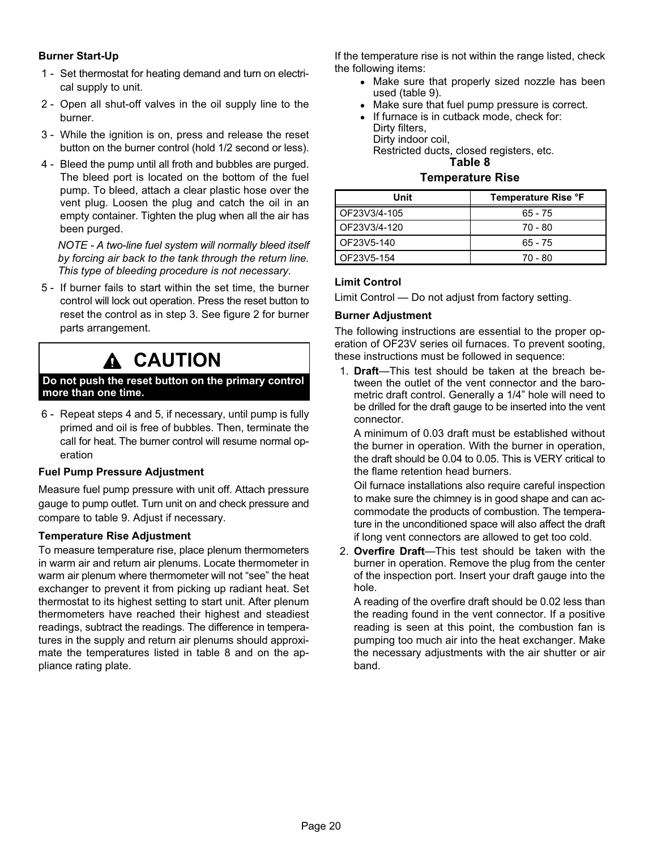### <span id="page-19-0"></span>Burner Start−Up

- 1 − Set thermostat for heating demand and turn on electrical supply to unit.
- 2 − Open all shut−off valves in the oil supply line to the burner.
- 3 − While the ignition is on, press and release the reset button on the burner control (hold 1/2 second or less).
- 4 − Bleed the pump until all froth and bubbles are purged. The bleed port is located on the bottom of the fuel pump. To bleed, attach a clear plastic hose over the vent plug. Loosen the plug and catch the oil in an empty container. Tighten the plug when all the air has been purged.

NOTE − A two−line fuel system will normally bleed itself by forcing air back to the tank through the return line. This type of bleeding procedure is not necessary.

 5 − If burner fails to start within the set time, the burner control will lock out operation. Press the reset button to reset the control as in step 3. See figure [2](#page-2-0) for burner parts arrangement.

### **A CAUTION**

#### Do not push the reset button on the primary control more than one time.

 6 − Repeat steps 4 and 5, if necessary, until pump is fully primed and oil is free of bubbles. Then, terminate the call for heat. The burner control will resume normal operation

#### Fuel Pump Pressure Adjustment

Measure fuel pump pressure with unit off. Attach pressure gauge to pump outlet. Turn unit on and check pressure and compare to table [9.](#page-20-0) Adjust if necessary.

#### Temperature Rise Adjustment

To measure temperature rise, place plenum thermometers in warm air and return air plenums. Locate thermometer in warm air plenum where thermometer will not "see" the heat exchanger to prevent it from picking up radiant heat. Set thermostat to its highest setting to start unit. After plenum thermometers have reached their highest and steadiest readings, subtract the readings. The difference in temperatures in the supply and return air plenums should approximate the temperatures listed in table 8 and on the appliance rating plate.

If the temperature rise is not within the range listed, check the following items:

- Make sure that properly sized nozzle has been used (table [9\)](#page-20-0).
- Make sure that fuel pump pressure is correct.
- $\bullet$  If furnace is in cutback mode, check for: Dirty filters, Dirty indoor coil,

Restricted ducts, closed registers, etc. Table 8

### Temperature Rise

| Unit         | Temperature Rise °F |
|--------------|---------------------|
| OF23V3/4-105 | $65 - 75$           |
| OF23V3/4-120 | 70 - 80             |
| OF23V5-140   | $65 - 75$           |
| OF23V5-154   | 70 - 80             |

#### Limit Control

Limit Control  $-$  Do not adjust from factory setting.

#### Burner Adjustment

The following instructions are essential to the proper operation of OF23V series oil furnaces. To prevent sooting, these instructions must be followed in sequence:

1. Draft-This test should be taken at the breach between the outlet of the vent connector and the barometric draft control. Generally a 1/4" hole will need to be drilled for the draft gauge to be inserted into the vent connector.

A minimum of 0.03 draft must be established without the burner in operation. With the burner in operation, the draft should be 0.04 to 0.05. This is VERY critical to the flame retention head burners.

Oil furnace installations also require careful inspection to make sure the chimney is in good shape and can accommodate the products of combustion. The temperature in the unconditioned space will also affect the draft if long vent connectors are allowed to get too cold.

2. Overfire Draft-This test should be taken with the burner in operation. Remove the plug from the center of the inspection port. Insert your draft gauge into the hole.

A reading of the overfire draft should be 0.02 less than the reading found in the vent connector. If a positive reading is seen at this point, the combustion fan is pumping too much air into the heat exchanger. Make the necessary adjustments with the air shutter or air band.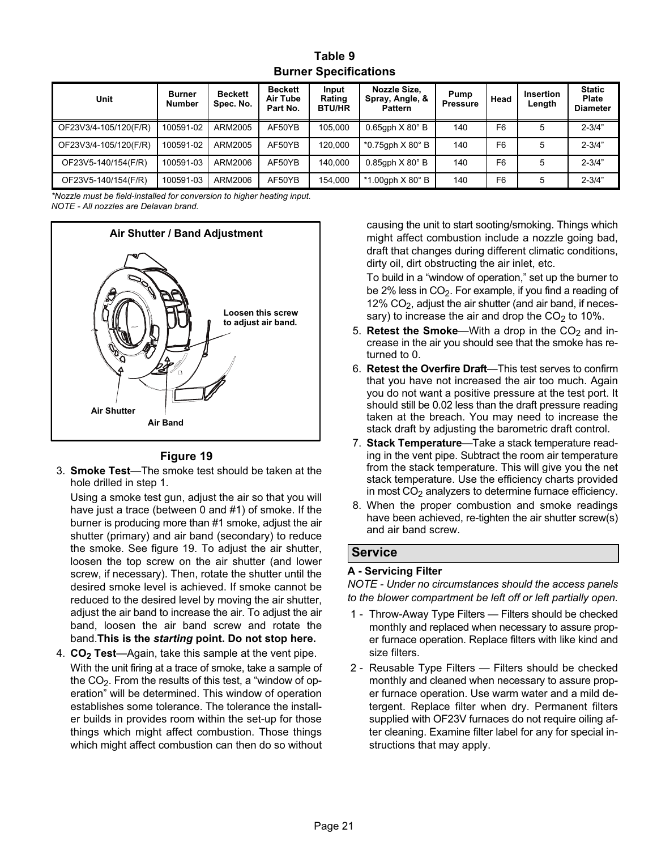| Table 9                      |
|------------------------------|
| <b>Burner Specifications</b> |

<span id="page-20-0"></span>

| Unit                  | <b>Burner</b><br><b>Number</b> | <b>Beckett</b><br>Spec. No. | <b>Beckett</b><br>Air Tube<br>Part No. | Input<br>Rating<br><b>BTU/HR</b> | Nozzle Size,<br>Spray, Angle, &<br><b>Pattern</b> | Pump<br><b>Pressure</b> | Head           | <b>Insertion</b><br>Length | <b>Static</b><br><b>Plate</b><br><b>Diameter</b> |
|-----------------------|--------------------------------|-----------------------------|----------------------------------------|----------------------------------|---------------------------------------------------|-------------------------|----------------|----------------------------|--------------------------------------------------|
| OF23V3/4-105/120(F/R) | 100591-02                      | ARM2005                     | AF50YB                                 | 105.000                          | $0.65$ gph $X 80^\circ$ B                         | 140                     | F6             | 5                          | $2 - 3/4"$                                       |
| OF23V3/4-105/120(F/R) | 100591-02                      | ARM2005                     | AF50YB                                 | 120.000                          | $*0.75$ gph $X 80^\circ$ B                        | 140                     | F <sub>6</sub> | 5                          | $2 - 3/4"$                                       |
| OF23V5-140/154(F/R)   | 100591-03                      | ARM2006                     | AF50YB                                 | 140.000                          | $0.85$ gph $X 80^\circ$ B                         | 140                     | F <sub>6</sub> | 5                          | $2 - 3/4"$                                       |
| OF23V5-140/154(F/R)   | 100591-03                      | ARM2006                     | AF50YB                                 | 154.000                          | $*1.00$ gph $X80^\circ$ B                         | 140                     | F6             | 5                          | $2 - 3/4"$                                       |

\*Nozzle must be field−installed for conversion to higher heating input. NOTE − All nozzles are Delavan brand.



### Figure 19

3. Smoke Test-The smoke test should be taken at the hole drilled in step [1.](#page-19-0)

Using a smoke test gun, adjust the air so that you will have just a trace (between 0 and #1) of smoke. If the burner is producing more than #1 smoke, adjust the air shutter (primary) and air band (secondary) to reduce the smoke. See figure 19. To adjust the air shutter, loosen the top screw on the air shutter (and lower screw, if necessary). Then, rotate the shutter until the desired smoke level is achieved. If smoke cannot be reduced to the desired level by moving the air shutter, adjust the air band to increase the air. To adjust the air band, loosen the air band screw and rotate the band.This is the starting point. Do not stop here.

4.  $CO<sub>2</sub> Test—Again, take this sample at the vent pipe.$ With the unit firing at a trace of smoke, take a sample of the CO $_2$ . From the results of this test, a "window of operation" will be determined. This window of operation establishes some tolerance. The tolerance the installer builds in provides room within the set-up for those things which might affect combustion. Those things which might affect combustion can then do so without causing the unit to start sooting/smoking. Things which might affect combustion include a nozzle going bad, draft that changes during different climatic conditions, dirty oil, dirt obstructing the air inlet, etc.

To build in a "window of operation," set up the burner to be 2% less in  $CO<sub>2</sub>$ . For example, if you find a reading of  $12\%$  CO<sub>2</sub>, adjust the air shutter (and air band, if necessary) to increase the air and drop the  $CO<sub>2</sub>$  to 10%.

- 5. Retest the Smoke—With a drop in the  $CO<sub>2</sub>$  and increase in the air you should see that the smoke has returned to 0.
- 6. Retest the Overfire Draft-This test serves to confirm that you have not increased the air too much. Again you do not want a positive pressure at the test port. It should still be 0.02 less than the draft pressure reading taken at the breach. You may need to increase the stack draft by adjusting the barometric draft control.
- 7. Stack Temperature—Take a stack temperature reading in the vent pipe. Subtract the room air temperature from the stack temperature. This will give you the net stack temperature. Use the efficiency charts provided in most  $CO<sub>2</sub>$  analyzers to determine furnace efficiency.
- 8. When the proper combustion and smoke readings have been achieved, re−tighten the air shutter screw(s) and air band screw.

### Service

#### A − Servicing Filter

NOTE − Under no circumstances should the access panels to the blower compartment be left off or left partially open.

- 1 Throw-Away Type Filters Filters should be checked monthly and replaced when necessary to assure proper furnace operation. Replace filters with like kind and size filters.
- 2 Reusable Type Filters Filters should be checked monthly and cleaned when necessary to assure proper furnace operation. Use warm water and a mild detergent. Replace filter when dry. Permanent filters supplied with OF23V furnaces do not require oiling after cleaning. Examine filter label for any for special instructions that may apply.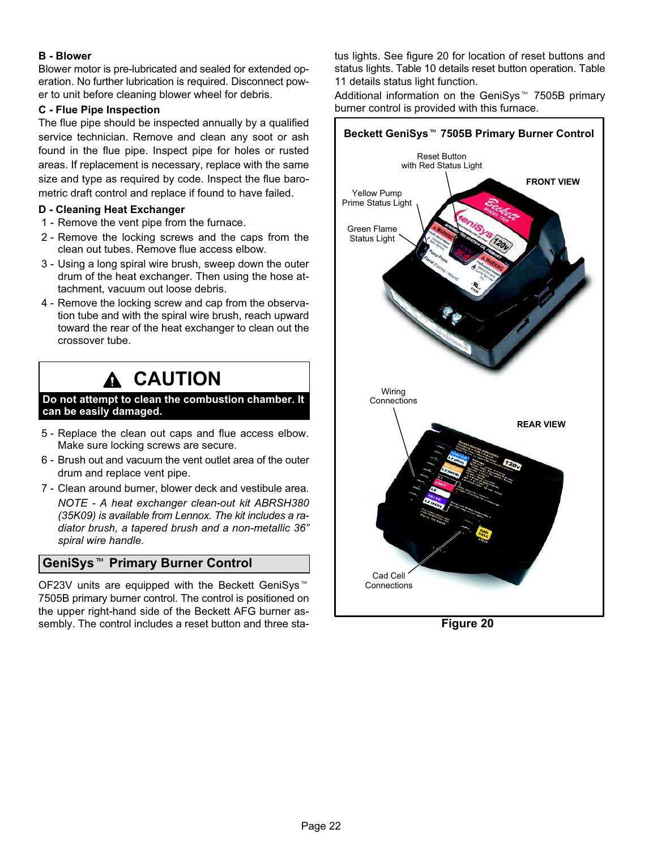### B − Blower

Blower motor is pre-lubricated and sealed for extended operation. No further lubrication is required. Disconnect power to unit before cleaning blower wheel for debris.

### C − Flue Pipe Inspection

The flue pipe should be inspected annually by a qualified service technician. Remove and clean any soot or ash found in the flue pipe. Inspect pipe for holes or rusted areas. If replacement is necessary, replace with the same size and type as required by code. Inspect the flue barometric draft control and replace if found to have failed.

### D − Cleaning Heat Exchanger

- 1 Remove the vent pipe from the furnace.
- 2 − Remove the locking screws and the caps from the clean out tubes. Remove flue access elbow.
- 3 − Using a long spiral wire brush, sweep down the outer drum of the heat exchanger. Then using the hose attachment, vacuum out loose debris.
- 4 − Remove the locking screw and cap from the observation tube and with the spiral wire brush, reach upward toward the rear of the heat exchanger to clean out the crossover tube.

### **CAUTION**

#### Do not attempt to clean the combustion chamber. It can be easily damaged.

- 5 − Replace the clean out caps and flue access elbow. Make sure locking screws are secure.
- 6 − Brush out and vacuum the vent outlet area of the outer drum and replace vent pipe.
- 7 Clean around burner, blower deck and vestibule area. NOTE − A heat exchanger clean-out kit ABRSH380 (35K09) is available from Lennox. The kit includes a radiator brush, a tapered brush and a non−metallic 36" spiral wire handle.

# spiral wire handle.<br>GeniSys™ Primary Burner Control

OF23V units are equipped with the Beckett GeniSys 7505B primary burner control. The control is positioned on the upper right−hand side of the Beckett AFG burner assembly. The control includes a reset button and three status lights. See figure 20 for location of reset buttons and status lights. Table [10](#page-22-0) details reset button operation. Table [11](#page-22-0) details status light function.

Additional information on the GeniSys<sup>™</sup> 7505B primary burner control is provided with this furnace.



Figure 20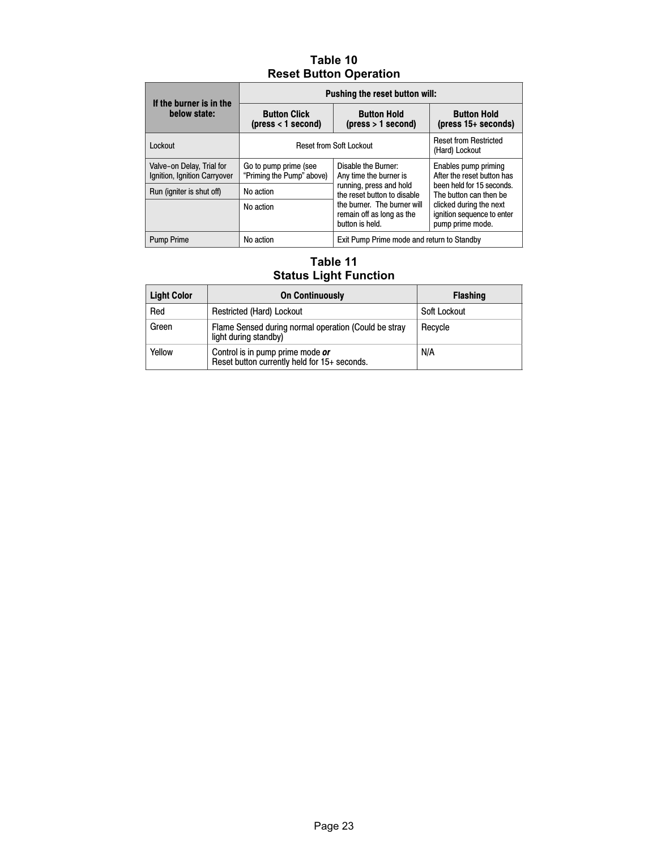### Table 10 Reset Button Operation

<span id="page-22-0"></span>

| If the burner is in the                                   | Pushing the reset button will:                                                        |                                                                             |                                                                                                           |  |  |
|-----------------------------------------------------------|---------------------------------------------------------------------------------------|-----------------------------------------------------------------------------|-----------------------------------------------------------------------------------------------------------|--|--|
| below state:                                              | <b>Button Hold</b><br><b>Button Click</b><br>(press < 1 second)<br>(press > 1 second) |                                                                             | <b>Button Hold</b><br>(press $15+$ seconds)                                                               |  |  |
| Lockout                                                   | <b>Reset from Soft Lockout</b>                                                        | <b>Reset from Restricted</b><br>(Hard) Lockout                              |                                                                                                           |  |  |
| Valve-on Delay, Trial for<br>Ignition, Ignition Carryover | Go to pump prime (see<br>"Priming the Pump" above)                                    | Disable the Burner:<br>Any time the burner is                               | Enables pump priming<br>After the reset button has<br>been held for 15 seconds.<br>The button can then be |  |  |
| Run (igniter is shut off)                                 | No action                                                                             | running, press and hold<br>the reset button to disable                      |                                                                                                           |  |  |
|                                                           | No action                                                                             | the burner. The burner will<br>remain off as long as the<br>button is held. | clicked during the next<br>ignition sequence to enter<br>pump prime mode.                                 |  |  |
| <b>Pump Prime</b>                                         | No action                                                                             | Exit Pump Prime mode and return to Standby                                  |                                                                                                           |  |  |

### Table 11 Status Light Function

| <b>Light Color</b> | <b>On Continuously</b>                                                           | <b>Flashing</b> |
|--------------------|----------------------------------------------------------------------------------|-----------------|
| Red                | <b>Restricted (Hard) Lockout</b>                                                 | Soft Lockout    |
| Green              | Flame Sensed during normal operation (Could be stray<br>light during standby)    | Recycle         |
| Yellow             | Control is in pump prime mode or<br>Reset button currently held for 15+ seconds. | N/A             |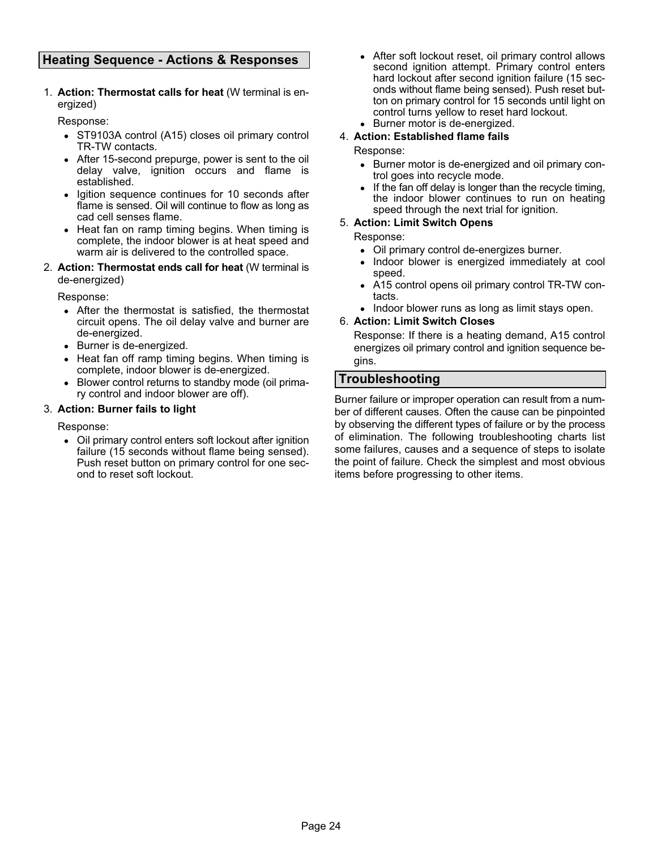### Heating Sequence − Actions & Responses

1. Action: Thermostat calls for heat (W terminal is energized)

Response:

- ST9103A control (A15) closes oil primary control TR−TW contacts.
- After 15−second prepurge, power is sent to the oil delay valve, ignition occurs and flame is established.
- Igition sequence continues for 10 seconds after flame is sensed. Oil will continue to flow as long as cad cell senses flame.
- Heat fan on ramp timing begins. When timing is complete, the indoor blower is at heat speed and warm air is delivered to the controlled space.
- 2. Action: Thermostat ends call for heat (W terminal is de−energized)

Response:

- After the thermostat is satisfied, the thermostat circuit opens. The oil delay valve and burner are de−energized.
- Burner is de−energized.
- Heat fan off ramp timing begins. When timing is complete, indoor blower is de−energized.
- Blower control returns to standby mode (oil primary control and indoor blower are off).

#### 3. Action: Burner fails to light

Response:

 Oil primary control enters soft lockout after ignition failure (15 seconds without flame being sensed). Push reset button on primary control for one second to reset soft lockout.

 $\bullet$  After soft lockout reset, oil primary control allows second ignition attempt. Primary control enters hard lockout after second ignition failure (15 seconds without flame being sensed). Push reset button on primary control for 15 seconds until light on control turns yellow to reset hard lockout. Burner motor is de−energized.

### 4. Action: Established flame fails

#### Response:

- Burner motor is de−energized and oil primary control goes into recycle mode.
- $\bullet$  If the fan off delay is longer than the recycle timing, the indoor blower continues to run on heating speed through the next trial for ignition.

#### 5. Action: Limit Switch Opens

Response:

- Oil primary control de−energizes burner.
- Indoor blower is energized immediately at cool speed.
- A15 control opens oil primary control TR−TW contacts.
- Indoor blower runs as long as limit stays open.

#### 6. Action: Limit Switch Closes

Response: If there is a heating demand, A15 control energizes oil primary control and ignition sequence begins.

### Troubleshooting

Burner failure or improper operation can result from a number of different causes. Often the cause can be pinpointed by observing the different types of failure or by the process of elimination. The following troubleshooting charts list some failures, causes and a sequence of steps to isolate the point of failure. Check the simplest and most obvious items before progressing to other items.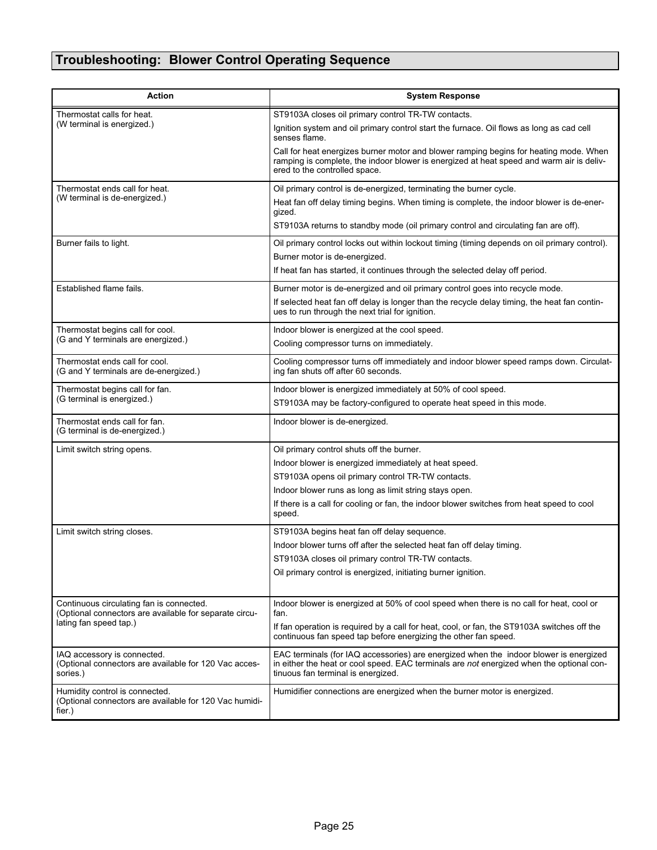### Troubleshooting: Blower Control Operating Sequence

| <b>Action</b>                                                                                      | <b>System Response</b>                                                                                                                                                                                                  |
|----------------------------------------------------------------------------------------------------|-------------------------------------------------------------------------------------------------------------------------------------------------------------------------------------------------------------------------|
| Thermostat calls for heat.                                                                         | ST9103A closes oil primary control TR-TW contacts.                                                                                                                                                                      |
| (W terminal is energized.)                                                                         | Ignition system and oil primary control start the furnace. Oil flows as long as cad cell<br>senses flame.                                                                                                               |
|                                                                                                    | Call for heat energizes burner motor and blower ramping begins for heating mode. When<br>ramping is complete, the indoor blower is energized at heat speed and warm air is deliv-<br>ered to the controlled space.      |
| Thermostat ends call for heat.                                                                     | Oil primary control is de-energized, terminating the burner cycle.                                                                                                                                                      |
| (W terminal is de-energized.)                                                                      | Heat fan off delay timing begins. When timing is complete, the indoor blower is de-ener-<br>gized.                                                                                                                      |
|                                                                                                    | ST9103A returns to standby mode (oil primary control and circulating fan are off).                                                                                                                                      |
| Burner fails to light.                                                                             | Oil primary control locks out within lockout timing (timing depends on oil primary control).                                                                                                                            |
|                                                                                                    | Burner motor is de-energized.                                                                                                                                                                                           |
|                                                                                                    | If heat fan has started, it continues through the selected delay off period.                                                                                                                                            |
| Established flame fails.                                                                           | Burner motor is de-energized and oil primary control goes into recycle mode.                                                                                                                                            |
|                                                                                                    | If selected heat fan off delay is longer than the recycle delay timing, the heat fan contin-<br>ues to run through the next trial for ignition.                                                                         |
| Thermostat begins call for cool.                                                                   | Indoor blower is energized at the cool speed.                                                                                                                                                                           |
| (G and Y terminals are energized.)                                                                 | Cooling compressor turns on immediately.                                                                                                                                                                                |
| Thermostat ends call for cool.<br>(G and Y terminals are de-energized.)                            | Cooling compressor turns off immediately and indoor blower speed ramps down. Circulat-<br>ing fan shuts off after 60 seconds.                                                                                           |
| Thermostat begins call for fan.                                                                    | Indoor blower is energized immediately at 50% of cool speed.                                                                                                                                                            |
| (G terminal is energized.)                                                                         | ST9103A may be factory-configured to operate heat speed in this mode.                                                                                                                                                   |
| Thermostat ends call for fan.<br>(G terminal is de-energized.)                                     | Indoor blower is de-energized.                                                                                                                                                                                          |
| Limit switch string opens.                                                                         | Oil primary control shuts off the burner.                                                                                                                                                                               |
|                                                                                                    | Indoor blower is energized immediately at heat speed.                                                                                                                                                                   |
|                                                                                                    | ST9103A opens oil primary control TR-TW contacts.                                                                                                                                                                       |
|                                                                                                    | Indoor blower runs as long as limit string stays open.                                                                                                                                                                  |
|                                                                                                    | If there is a call for cooling or fan, the indoor blower switches from heat speed to cool<br>speed.                                                                                                                     |
| Limit switch string closes.                                                                        | ST9103A begins heat fan off delay sequence.                                                                                                                                                                             |
|                                                                                                    | Indoor blower turns off after the selected heat fan off delay timing.                                                                                                                                                   |
|                                                                                                    | ST9103A closes oil primary control TR-TW contacts.                                                                                                                                                                      |
|                                                                                                    | Oil primary control is energized, initiating burner ignition.                                                                                                                                                           |
|                                                                                                    |                                                                                                                                                                                                                         |
| Continuous circulating fan is connected.<br>(Optional connectors are available for separate circu- | Indoor blower is energized at 50% of cool speed when there is no call for heat, cool or<br>fan.                                                                                                                         |
| lating fan speed tap.)                                                                             | If fan operation is required by a call for heat, cool, or fan, the ST9103A switches off the<br>continuous fan speed tap before energizing the other fan speed.                                                          |
| IAQ accessory is connected.<br>(Optional connectors are available for 120 Vac acces-<br>sories.)   | EAC terminals (for IAQ accessories) are energized when the indoor blower is energized<br>in either the heat or cool speed. EAC terminals are not energized when the optional con-<br>tinuous fan terminal is energized. |
| Humidity control is connected.<br>(Optional connectors are available for 120 Vac humidi-<br>fier.) | Humidifier connections are energized when the burner motor is energized.                                                                                                                                                |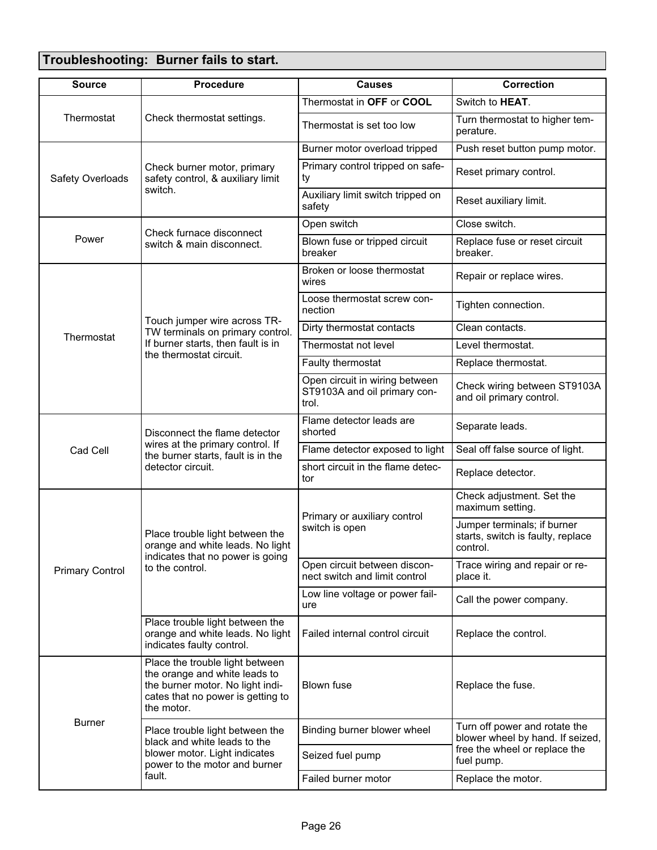### Troubleshooting: Burner fails to start.

| <b>Source</b>          | <b>Procedure</b>                                                                                                                                        | <b>Causes</b>                                                           | Correction                                                                   |  |
|------------------------|---------------------------------------------------------------------------------------------------------------------------------------------------------|-------------------------------------------------------------------------|------------------------------------------------------------------------------|--|
|                        |                                                                                                                                                         | Thermostat in OFF or COOL                                               | Switch to HEAT.                                                              |  |
| Thermostat             | Check thermostat settings.                                                                                                                              | Thermostat is set too low                                               | Turn thermostat to higher tem-<br>perature.                                  |  |
|                        |                                                                                                                                                         | Burner motor overload tripped                                           | Push reset button pump motor.                                                |  |
| Safety Overloads       | Check burner motor, primary<br>safety control, & auxiliary limit                                                                                        | Primary control tripped on safe-<br>ty                                  | Reset primary control.                                                       |  |
|                        | switch.                                                                                                                                                 | Auxiliary limit switch tripped on<br>safety                             | Reset auxiliary limit.                                                       |  |
|                        | Check furnace disconnect                                                                                                                                | Open switch                                                             | Close switch.                                                                |  |
| Power                  | switch & main disconnect.                                                                                                                               | Blown fuse or tripped circuit<br>breaker                                | Replace fuse or reset circuit<br>breaker.                                    |  |
|                        |                                                                                                                                                         | Broken or loose thermostat<br>wires                                     | Repair or replace wires.                                                     |  |
|                        |                                                                                                                                                         | Loose thermostat screw con-<br>nection                                  | Tighten connection.                                                          |  |
| Thermostat             | Touch jumper wire across TR-<br>TW terminals on primary control.                                                                                        | Dirty thermostat contacts                                               | Clean contacts.                                                              |  |
|                        | If burner starts, then fault is in<br>the thermostat circuit.                                                                                           | Thermostat not level                                                    | Level thermostat.                                                            |  |
|                        |                                                                                                                                                         | Faulty thermostat                                                       | Replace thermostat.                                                          |  |
|                        |                                                                                                                                                         | Open circuit in wiring between<br>ST9103A and oil primary con-<br>trol. | Check wiring between ST9103A<br>and oil primary control.                     |  |
|                        | Disconnect the flame detector                                                                                                                           | Flame detector leads are<br>shorted                                     | Separate leads.                                                              |  |
| Cad Cell               | wires at the primary control. If<br>the burner starts, fault is in the<br>detector circuit.                                                             | Flame detector exposed to light                                         | Seal off false source of light.                                              |  |
|                        |                                                                                                                                                         | short circuit in the flame detec-<br>tor                                | Replace detector.                                                            |  |
|                        |                                                                                                                                                         | Primary or auxiliary control<br>switch is open                          | Check adjustment. Set the<br>maximum setting.                                |  |
|                        | Place trouble light between the<br>orange and white leads. No light<br>indicates that no power is going<br>to the control.                              |                                                                         | Jumper terminals; if burner<br>starts, switch is faulty, replace<br>control. |  |
| <b>Primary Control</b> |                                                                                                                                                         | Open circuit between discon-<br>nect switch and limit control           | Trace wiring and repair or re-<br>place it.                                  |  |
|                        |                                                                                                                                                         | Low line voltage or power fail-<br>ure                                  | Call the power company.                                                      |  |
|                        | Place trouble light between the<br>orange and white leads. No light<br>indicates faulty control.                                                        | Failed internal control circuit                                         | Replace the control.                                                         |  |
|                        | Place the trouble light between<br>the orange and white leads to<br>the burner motor. No light indi-<br>cates that no power is getting to<br>the motor. | <b>Blown fuse</b>                                                       | Replace the fuse.                                                            |  |
| <b>Burner</b>          | Place trouble light between the<br>black and white leads to the                                                                                         | Binding burner blower wheel                                             | Turn off power and rotate the<br>blower wheel by hand. If seized,            |  |
|                        | blower motor. Light indicates<br>power to the motor and burner                                                                                          | Seized fuel pump                                                        | free the wheel or replace the<br>fuel pump.                                  |  |
|                        | fault.                                                                                                                                                  | Failed burner motor                                                     | Replace the motor.                                                           |  |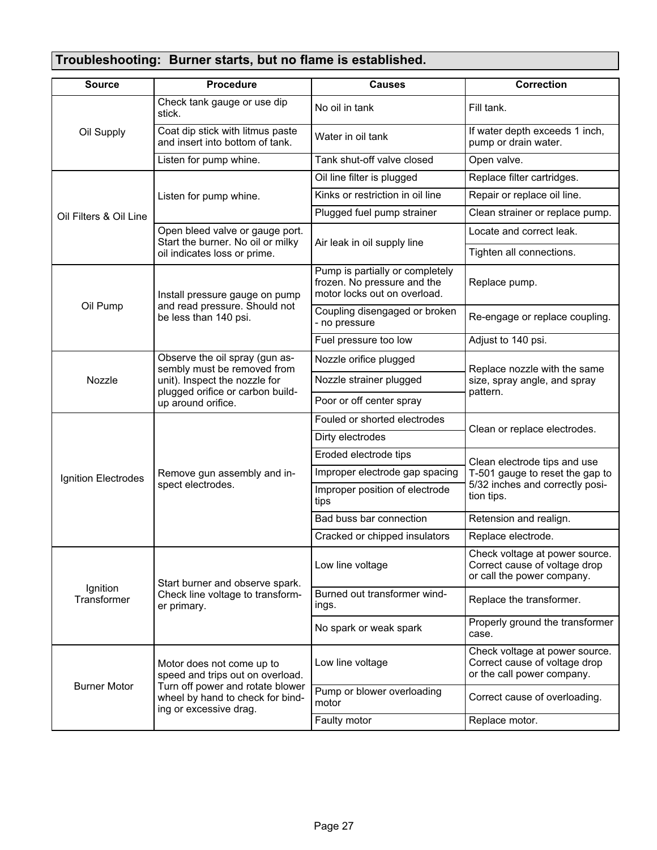### Troubleshooting: Burner starts, but no flame is established.

| <b>Source</b>           | <b>Procedure</b>                                                                                 | <b>Causes</b>                                                                                  | <b>Correction</b>                                                                             |  |
|-------------------------|--------------------------------------------------------------------------------------------------|------------------------------------------------------------------------------------------------|-----------------------------------------------------------------------------------------------|--|
|                         | Check tank gauge or use dip<br>stick.                                                            | No oil in tank                                                                                 | Fill tank.                                                                                    |  |
| Oil Supply              | Coat dip stick with litmus paste<br>and insert into bottom of tank.                              | Water in oil tank                                                                              | If water depth exceeds 1 inch,<br>pump or drain water.                                        |  |
|                         | Listen for pump whine.                                                                           | Tank shut-off valve closed                                                                     | Open valve.                                                                                   |  |
|                         |                                                                                                  | Oil line filter is plugged                                                                     | Replace filter cartridges.                                                                    |  |
|                         | Listen for pump whine.                                                                           | Kinks or restriction in oil line                                                               | Repair or replace oil line.                                                                   |  |
| Oil Filters & Oil Line  |                                                                                                  | Plugged fuel pump strainer                                                                     | Clean strainer or replace pump.                                                               |  |
|                         | Open bleed valve or gauge port.<br>Start the burner. No oil or milky                             | Air leak in oil supply line                                                                    | Locate and correct leak.                                                                      |  |
|                         | oil indicates loss or prime.                                                                     |                                                                                                | Tighten all connections.                                                                      |  |
|                         | Install pressure gauge on pump                                                                   | Pump is partially or completely<br>frozen. No pressure and the<br>motor locks out on overload. | Replace pump.                                                                                 |  |
| Oil Pump                | and read pressure. Should not<br>be less than 140 psi.                                           | Coupling disengaged or broken<br>- no pressure                                                 | Re-engage or replace coupling.                                                                |  |
|                         |                                                                                                  | Fuel pressure too low                                                                          | Adjust to 140 psi.                                                                            |  |
|                         | Observe the oil spray (gun as-                                                                   | Nozzle orifice plugged                                                                         |                                                                                               |  |
| Nozzle                  | sembly must be removed from<br>unit). Inspect the nozzle for<br>plugged orifice or carbon build- | Nozzle strainer plugged                                                                        | Replace nozzle with the same<br>size, spray angle, and spray<br>pattern.                      |  |
|                         | up around orifice.                                                                               | Poor or off center spray                                                                       |                                                                                               |  |
|                         |                                                                                                  | Fouled or shorted electrodes                                                                   |                                                                                               |  |
|                         |                                                                                                  | Dirty electrodes                                                                               | Clean or replace electrodes.                                                                  |  |
|                         |                                                                                                  | Eroded electrode tips                                                                          | Clean electrode tips and use                                                                  |  |
| Ignition Electrodes     | Remove gun assembly and in-                                                                      | Improper electrode gap spacing                                                                 | T-501 gauge to reset the gap to                                                               |  |
|                         | spect electrodes.                                                                                | Improper position of electrode<br>tips                                                         | 5/32 inches and correctly posi-<br>tion tips.                                                 |  |
|                         |                                                                                                  | Bad buss bar connection                                                                        | Retension and realign.                                                                        |  |
|                         |                                                                                                  | Cracked or chipped insulators                                                                  | Replace electrode.                                                                            |  |
|                         | Start burner and observe spark.                                                                  | Low line voltage                                                                               | Check voltage at power source<br>Correct cause of voltage drop<br>or call the power company.  |  |
| Ignition<br>Transformer | Check line voltage to transform-<br>er primary.                                                  | Burned out transformer wind-<br>ings.                                                          | Replace the transformer.                                                                      |  |
|                         |                                                                                                  | No spark or weak spark                                                                         | Properly ground the transformer<br>case.                                                      |  |
|                         | Motor does not come up to<br>speed and trips out on overload.                                    | Low line voltage                                                                               | Check voltage at power source.<br>Correct cause of voltage drop<br>or the call power company. |  |
| <b>Burner Motor</b>     | Turn off power and rotate blower<br>wheel by hand to check for bind-<br>ing or excessive drag.   | Pump or blower overloading<br>motor                                                            | Correct cause of overloading.                                                                 |  |
|                         |                                                                                                  | Faulty motor                                                                                   | Replace motor.                                                                                |  |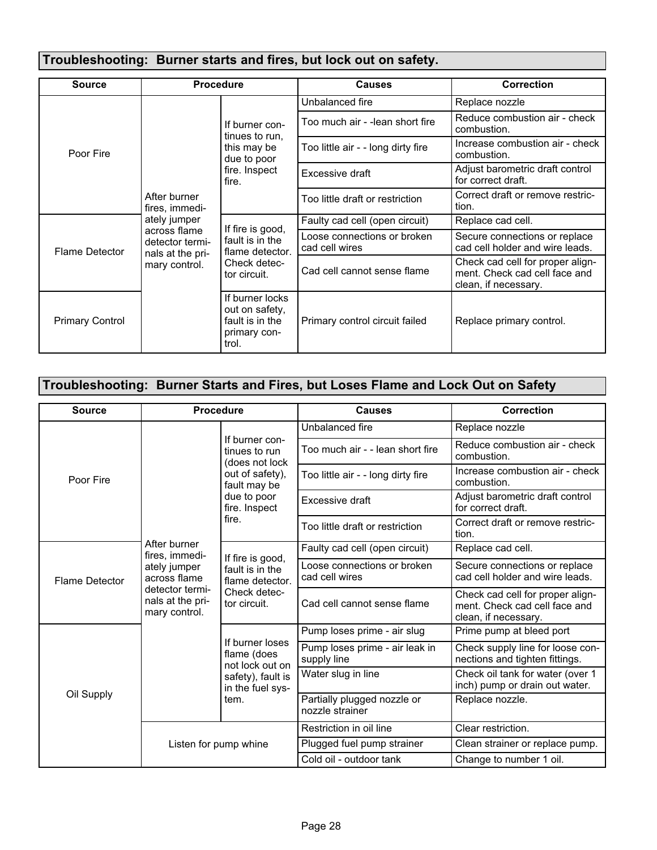### Troubleshooting: Burner starts and fires, but lock out on safety.

| <b>Source</b>          | <b>Procedure</b>                                                                     |                                                                                          | <b>Causes</b>                                 | <b>Correction</b>                                                                         |
|------------------------|--------------------------------------------------------------------------------------|------------------------------------------------------------------------------------------|-----------------------------------------------|-------------------------------------------------------------------------------------------|
|                        |                                                                                      |                                                                                          | Unbalanced fire                               | Replace nozzle                                                                            |
|                        |                                                                                      | If burner con-<br>tinues to run.<br>this may be<br>due to poor<br>fire. Inspect<br>fire. | Too much air - -lean short fire               | Reduce combustion air - check<br>combustion.                                              |
| Poor Fire              |                                                                                      |                                                                                          | Too little air - - long dirty fire            | Increase combustion air - check<br>combustion.                                            |
|                        |                                                                                      |                                                                                          | Excessive draft                               | Adjust barometric draft control<br>for correct draft.                                     |
|                        | After burner<br>fires, immedi-                                                       |                                                                                          | Too little draft or restriction               | Correct draft or remove restric-<br>tion.                                                 |
|                        | ately jumper<br>across flame<br>detector termi-<br>nals at the pri-<br>mary control. | If fire is good,<br>fault is in the<br>flame detector.<br>Check detec-<br>tor circuit.   | Faulty cad cell (open circuit)                | Replace cad cell.                                                                         |
| <b>Flame Detector</b>  |                                                                                      |                                                                                          | Loose connections or broken<br>cad cell wires | Secure connections or replace<br>cad cell holder and wire leads.                          |
|                        |                                                                                      |                                                                                          | Cad cell cannot sense flame                   | Check cad cell for proper align-<br>ment. Check cad cell face and<br>clean, if necessary. |
| <b>Primary Control</b> |                                                                                      | If burner locks<br>out on safety,<br>fault is in the<br>primary con-<br>trol.            | Primary control circuit failed                | Replace primary control.                                                                  |

### Troubleshooting: Burner Starts and Fires, but Loses Flame and Lock Out on Safety

| <b>Source</b>         |                                                                                      | <b>Procedure</b>                                                                                                     | <b>Causes</b>                                  | <b>Correction</b>                                                                         |
|-----------------------|--------------------------------------------------------------------------------------|----------------------------------------------------------------------------------------------------------------------|------------------------------------------------|-------------------------------------------------------------------------------------------|
|                       |                                                                                      | If burner con-<br>tinues to run<br>(does not lock<br>out of safety),<br>fault may be<br>due to poor<br>fire. Inspect | Unbalanced fire                                | Replace nozzle                                                                            |
|                       |                                                                                      |                                                                                                                      | Too much air - - lean short fire               | Reduce combustion air - check<br>combustion.                                              |
| Poor Fire             |                                                                                      |                                                                                                                      | Too little air - - long dirty fire             | Increase combustion air - check<br>combustion.                                            |
|                       |                                                                                      |                                                                                                                      | Excessive draft                                | Adjust barometric draft control<br>for correct draft.                                     |
|                       |                                                                                      | fire.                                                                                                                | Too little draft or restriction                | Correct draft or remove restric-<br>tion.                                                 |
|                       | After burner<br>fires, immedi-                                                       | If fire is good,<br>fault is in the<br>flame detector.<br>Check detec-<br>tor circuit.                               | Faulty cad cell (open circuit)                 | Replace cad cell.                                                                         |
| <b>Flame Detector</b> | ately jumper<br>across flame<br>detector termi-<br>nals at the pri-<br>mary control. |                                                                                                                      | Loose connections or broken<br>cad cell wires  | Secure connections or replace<br>cad cell holder and wire leads.                          |
|                       |                                                                                      |                                                                                                                      | Cad cell cannot sense flame                    | Check cad cell for proper align-<br>ment. Check cad cell face and<br>clean, if necessary. |
|                       |                                                                                      |                                                                                                                      | Pump loses prime - air slug                    | Prime pump at bleed port                                                                  |
|                       |                                                                                      | If burner loses<br>flame (does<br>not lock out on<br>safety), fault is<br>in the fuel sys-<br>tem.                   | Pump loses prime - air leak in<br>supply line  | Check supply line for loose con-<br>nections and tighten fittings.                        |
| Oil Supply            |                                                                                      |                                                                                                                      | Water slug in line                             | Check oil tank for water (over 1<br>inch) pump or drain out water.                        |
|                       |                                                                                      |                                                                                                                      | Partially plugged nozzle or<br>nozzle strainer | Replace nozzle.                                                                           |
|                       |                                                                                      |                                                                                                                      | Restriction in oil line                        | Clear restriction.                                                                        |
|                       |                                                                                      | Listen for pump whine                                                                                                | Plugged fuel pump strainer                     | Clean strainer or replace pump.                                                           |
|                       |                                                                                      |                                                                                                                      | Cold oil - outdoor tank                        | Change to number 1 oil.                                                                   |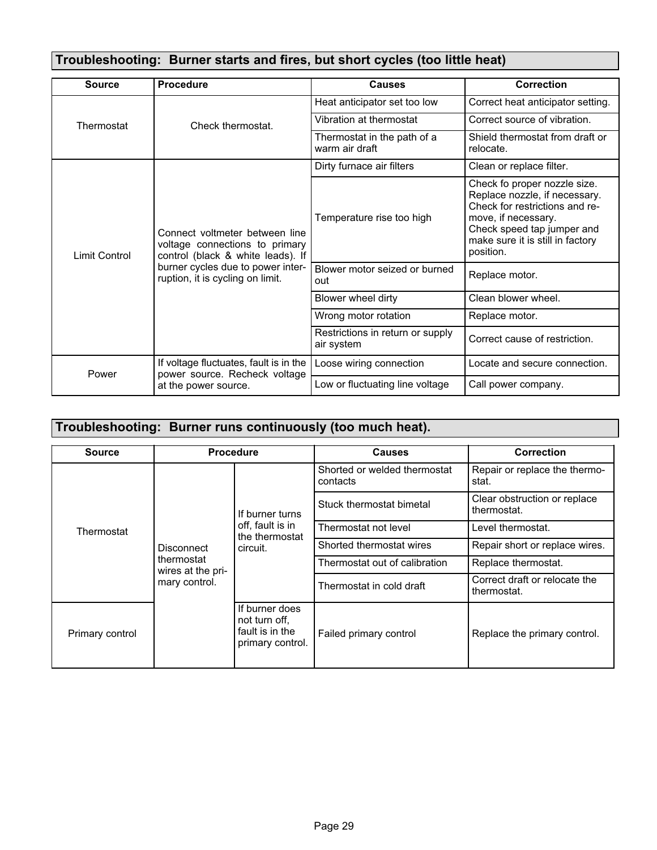### Troubleshooting: Burner starts and fires, but short cycles (too little heat)

| <b>Source</b>        | <b>Procedure</b>                                                                                      | <b>Causes</b>                                  | <b>Correction</b>                                                                                                                                                                                     |
|----------------------|-------------------------------------------------------------------------------------------------------|------------------------------------------------|-------------------------------------------------------------------------------------------------------------------------------------------------------------------------------------------------------|
|                      |                                                                                                       | Heat anticipator set too low                   | Correct heat anticipator setting.                                                                                                                                                                     |
| Thermostat           | Check thermostat.                                                                                     | Vibration at thermostat                        | Correct source of vibration.                                                                                                                                                                          |
|                      |                                                                                                       | Thermostat in the path of a<br>warm air draft  | Shield thermostat from draft or<br>relocate.                                                                                                                                                          |
|                      |                                                                                                       | Dirty furnace air filters                      | Clean or replace filter.                                                                                                                                                                              |
| <b>Limit Control</b> | Connect voltmeter between line<br>voltage connections to primary<br>control (black & white leads). If | Temperature rise too high                      | Check fo proper nozzle size.<br>Replace nozzle, if necessary.<br>Check for restrictions and re-<br>move, if necessary.<br>Check speed tap jumper and<br>make sure it is still in factory<br>position. |
|                      | burner cycles due to power inter-<br>ruption, it is cycling on limit.                                 | Blower motor seized or burned<br>out           | Replace motor.                                                                                                                                                                                        |
|                      |                                                                                                       | Blower wheel dirty                             | Clean blower wheel.                                                                                                                                                                                   |
|                      |                                                                                                       | Wrong motor rotation                           | Replace motor.                                                                                                                                                                                        |
|                      |                                                                                                       | Restrictions in return or supply<br>air system | Correct cause of restriction.                                                                                                                                                                         |
| Power                | If voltage fluctuates, fault is in the<br>power source. Recheck voltage                               | Loose wiring connection                        | Locate and secure connection.                                                                                                                                                                         |
|                      | at the power source.                                                                                  | Low or fluctuating line voltage                | Call power company.                                                                                                                                                                                   |

### Troubleshooting: Burner runs continuously (too much heat).

| <b>Source</b>   | <b>Procedure</b>                                               |                                                                        | <b>Causes</b>                            | <b>Correction</b>                            |
|-----------------|----------------------------------------------------------------|------------------------------------------------------------------------|------------------------------------------|----------------------------------------------|
| Thermostat      | Disconnect<br>thermostat<br>wires at the pri-<br>mary control. | If burner turns<br>off, fault is in<br>the thermostat<br>circuit.      | Shorted or welded thermostat<br>contacts | Repair or replace the thermo-<br>stat.       |
|                 |                                                                |                                                                        | Stuck thermostat bimetal                 | Clear obstruction or replace<br>thermostat.  |
|                 |                                                                |                                                                        | Thermostat not level                     | Level thermostat.                            |
|                 |                                                                |                                                                        | Shorted thermostat wires                 | Repair short or replace wires.               |
|                 |                                                                |                                                                        | Thermostat out of calibration            | Replace thermostat.                          |
|                 |                                                                |                                                                        | Thermostat in cold draft                 | Correct draft or relocate the<br>thermostat. |
| Primary control |                                                                | If burner does<br>not turn off.<br>fault is in the<br>primary control. | Failed primary control                   | Replace the primary control.                 |